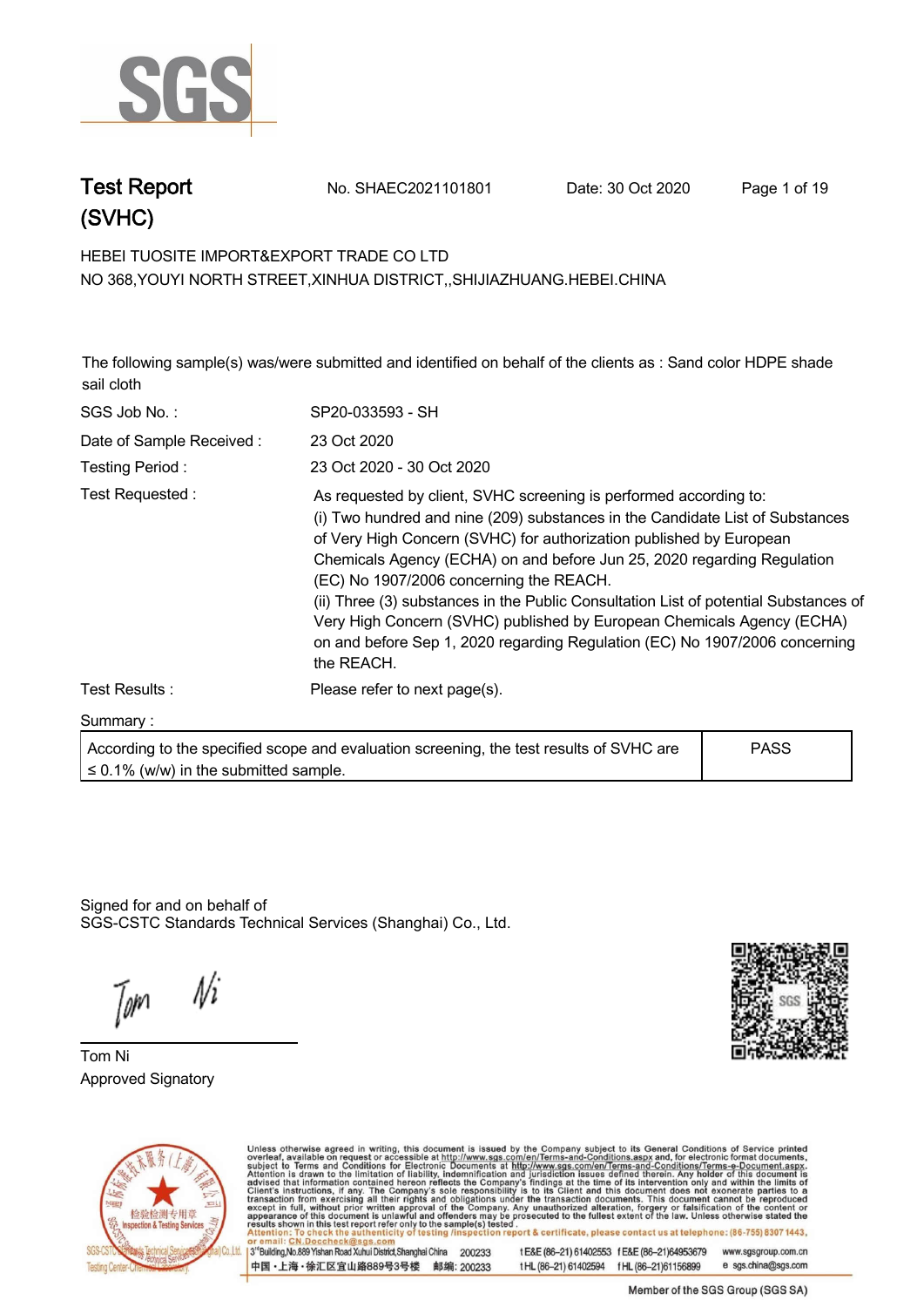

**Test Report. No. SHAEC2021101801 Date: 30 Oct 2020. Page 1 of 19.**

## **HEBEI TUOSITE IMPORT&EXPORT TRADE CO LTD . NO 368,YOUYI NORTH STREET,XINHUA DISTRICT,,SHIJIAZHUANG.HEBEI.CHINA**

**The following sample(s) was/were submitted and identified on behalf of the clients as : Sand color HDPE shade sail cloth.**

| SGS Job No.:             | SP20-033593 - SH                                                                                                                                                                                                                                                                                                                                                                                                                                                                                                                                                                                               |
|--------------------------|----------------------------------------------------------------------------------------------------------------------------------------------------------------------------------------------------------------------------------------------------------------------------------------------------------------------------------------------------------------------------------------------------------------------------------------------------------------------------------------------------------------------------------------------------------------------------------------------------------------|
| Date of Sample Received: | 23 Oct 2020                                                                                                                                                                                                                                                                                                                                                                                                                                                                                                                                                                                                    |
| Testing Period:          | 23 Oct 2020 - 30 Oct 2020                                                                                                                                                                                                                                                                                                                                                                                                                                                                                                                                                                                      |
| Test Requested:          | As requested by client, SVHC screening is performed according to:<br>(i) Two hundred and nine (209) substances in the Candidate List of Substances<br>of Very High Concern (SVHC) for authorization published by European<br>Chemicals Agency (ECHA) on and before Jun 25, 2020 regarding Regulation<br>(EC) No 1907/2006 concerning the REACH.<br>(ii) Three (3) substances in the Public Consultation List of potential Substances of<br>Very High Concern (SVHC) published by European Chemicals Agency (ECHA)<br>on and before Sep 1, 2020 regarding Regulation (EC) No 1907/2006 concerning<br>the REACH. |
| Test Results:            | Please refer to next page(s).                                                                                                                                                                                                                                                                                                                                                                                                                                                                                                                                                                                  |
| Summary:                 |                                                                                                                                                                                                                                                                                                                                                                                                                                                                                                                                                                                                                |
|                          |                                                                                                                                                                                                                                                                                                                                                                                                                                                                                                                                                                                                                |

**According to the specified scope and evaluation screening, the test results of SVHC are ≤ 0.1% (w/w) in the submitted sample. PASS**

Signed for and on behalf of SGS-CSTC Standards Technical Services (Shanghai) Co., Ltd..

Ni Jom

**Tom Ni. Approved Signatory . . .**





Unless otherwise agreed in writing, this document is issued by the Company subject to its General Conditions of Service printed overleaf, available on request or accessible at http://www.sgs.com/en/Terms-and-Conditions.asp 13<sup>rd</sup> Building No.889 Yishan Road Xuhui District Shanghai China 200233

中国·上海·徐汇区宜山路889号3号楼 邮编: 200233

t E&E (86-21) 61402553 f E&E (86-21)64953679 www.sgsgroup.com.cn tHL (86-21) 61402594 fHL (86-21) 61156899 e sgs.china@sgs.com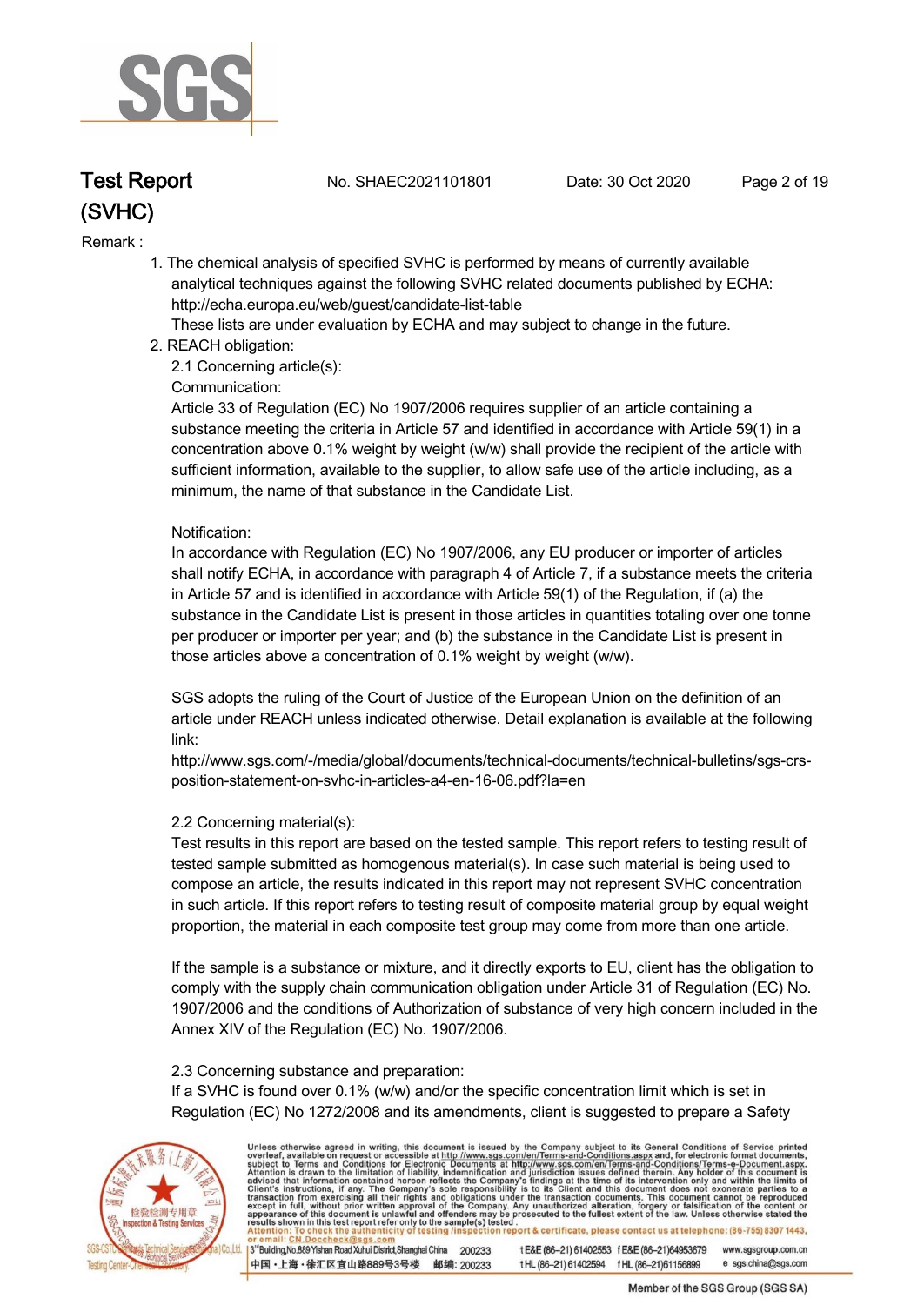

**Test Report. No. SHAEC2021101801 Date: 30 Oct 2020. Page 2 of 19.**

#### **Remark :.**

 **1. The chemical analysis of specified SVHC is performed by means of currently available analytical techniques against the following SVHC related documents published by ECHA: http://echa.europa.eu/web/guest/candidate-list-table** 

 **These lists are under evaluation by ECHA and may subject to change in the future.** 

 **2. REACH obligation:** 

 **2.1 Concerning article(s):** 

#### **Communication:**

 **Article 33 of Regulation (EC) No 1907/2006 requires supplier of an article containing a substance meeting the criteria in Article 57 and identified in accordance with Article 59(1) in a concentration above 0.1% weight by weight (w/w) shall provide the recipient of the article with sufficient information, available to the supplier, to allow safe use of the article including, as a minimum, the name of that substance in the Candidate List.** 

#### **Notification:**

 **In accordance with Regulation (EC) No 1907/2006, any EU producer or importer of articles shall notify ECHA, in accordance with paragraph 4 of Article 7, if a substance meets the criteria in Article 57 and is identified in accordance with Article 59(1) of the Regulation, if (a) the substance in the Candidate List is present in those articles in quantities totaling over one tonne per producer or importer per year; and (b) the substance in the Candidate List is present in those articles above a concentration of 0.1% weight by weight (w/w).** 

 **SGS adopts the ruling of the Court of Justice of the European Union on the definition of an article under REACH unless indicated otherwise. Detail explanation is available at the following link:** 

 **http://www.sgs.com/-/media/global/documents/technical-documents/technical-bulletins/sgs-crs position-statement-on-svhc-in-articles-a4-en-16-06.pdf?la=en** 

#### **2.2 Concerning material(s):**

 **Test results in this report are based on the tested sample. This report refers to testing result of tested sample submitted as homogenous material(s). In case such material is being used to compose an article, the results indicated in this report may not represent SVHC concentration in such article. If this report refers to testing result of composite material group by equal weight proportion, the material in each composite test group may come from more than one article.** 

 **If the sample is a substance or mixture, and it directly exports to EU, client has the obligation to comply with the supply chain communication obligation under Article 31 of Regulation (EC) No. 1907/2006 and the conditions of Authorization of substance of very high concern included in the Annex XIV of the Regulation (EC) No. 1907/2006.** 

#### **2.3 Concerning substance and preparation:**

 **If a SVHC is found over 0.1% (w/w) and/or the specific concentration limit which is set in Regulation (EC) No 1272/2008 and its amendments, client is suggested to prepare a Safety** 



Unless otherwise agreed in writing, this document is issued by the Company subject to its General Conditions of Service printed overleaf, available on request or accessible at http://www.sgs.com/en/Terms-and-Conditions.asp

3<sup>rd</sup>Building, No.889 Yishan Road Xuhui District, Shanghai China 200233 中国·上海·徐汇区宜山路889号3号楼 邮编: 200233 tE&E (86-21) 61402553 fE&E (86-21)64953679 www.sgsgroup.com.cn t HL (86-21) 61402594 f HL (86-21) 61156899 e sgs.china@sgs.com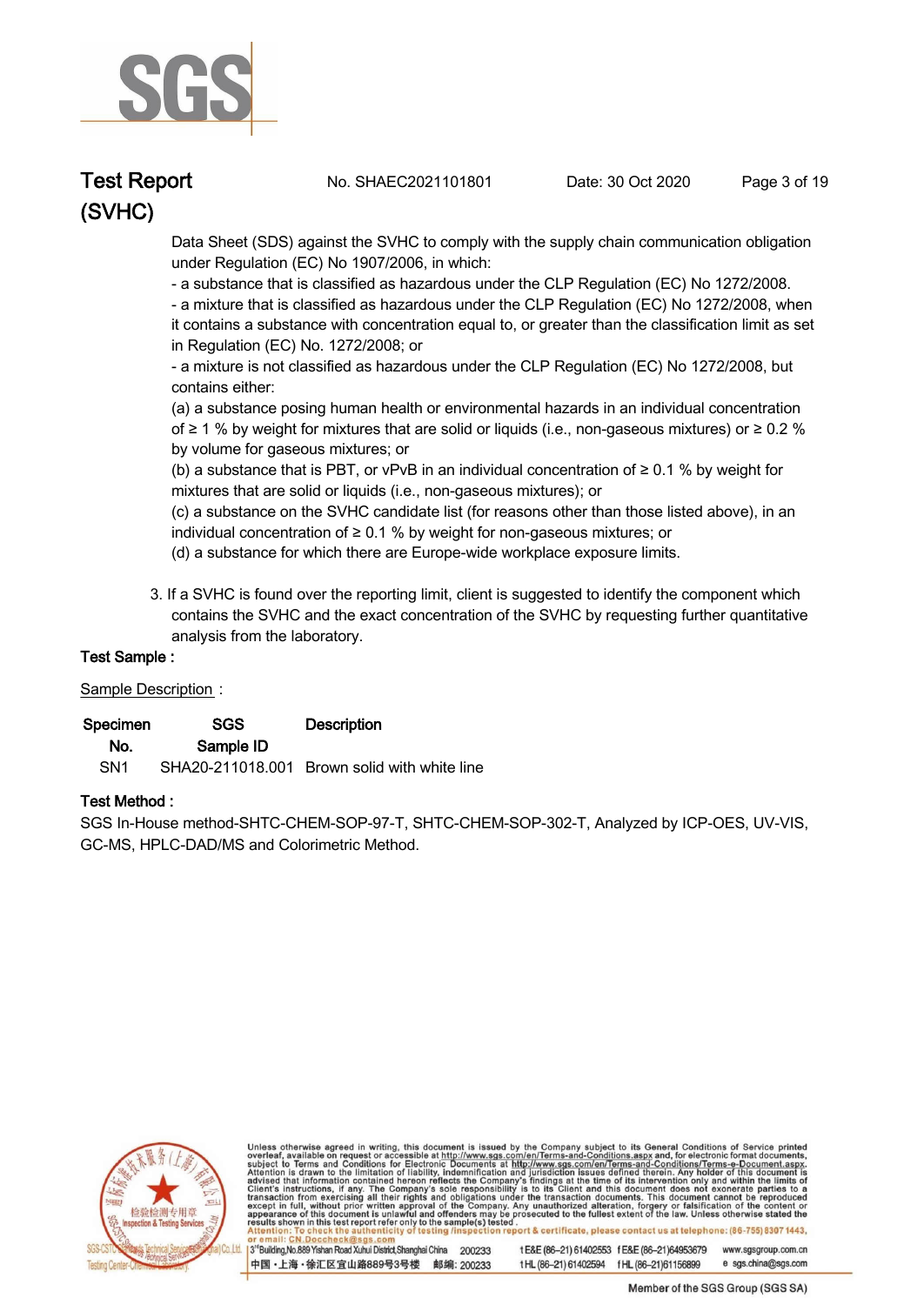

**Test Report. No. SHAEC2021101801 Date: 30 Oct 2020. Page 3 of 19.**

 **Data Sheet (SDS) against the SVHC to comply with the supply chain communication obligation under Regulation (EC) No 1907/2006, in which:** 

 **- a substance that is classified as hazardous under the CLP Regulation (EC) No 1272/2008.** 

 **- a mixture that is classified as hazardous under the CLP Regulation (EC) No 1272/2008, when it contains a substance with concentration equal to, or greater than the classification limit as set in Regulation (EC) No. 1272/2008; or** 

 **- a mixture is not classified as hazardous under the CLP Regulation (EC) No 1272/2008, but contains either:** 

 **(a) a substance posing human health or environmental hazards in an individual concentration of ≥ 1 % by weight for mixtures that are solid or liquids (i.e., non-gaseous mixtures) or ≥ 0.2 % by volume for gaseous mixtures; or** 

 **(b) a substance that is PBT, or vPvB in an individual concentration of ≥ 0.1 % by weight for mixtures that are solid or liquids (i.e., non-gaseous mixtures); or** 

 **(c) a substance on the SVHC candidate list (for reasons other than those listed above), in an individual concentration of ≥ 0.1 % by weight for non-gaseous mixtures; or** 

- **(d) a substance for which there are Europe-wide workplace exposure limits.**
- **3. If a SVHC is found over the reporting limit, client is suggested to identify the component which contains the SVHC and the exact concentration of the SVHC by requesting further quantitative analysis from the laboratory.**

## **Test Sample :.**

### **Sample Description :.**

| Specimen        | <b>SGS</b> | <b>Description</b>                           |
|-----------------|------------|----------------------------------------------|
| No.             | Sample ID  |                                              |
| SN <sub>1</sub> |            | SHA20-211018.001 Brown solid with white line |

### **Test Method :.**

**SGS In-House method-SHTC-CHEM-SOP-97-T, SHTC-CHEM-SOP-302-T, Analyzed by ICP-OES, UV-VIS, GC-MS, HPLC-DAD/MS and Colorimetric Method. .**



Unless otherwise agreed in writing, this document is issued by the Company subject to its General Conditions of Service printed overleaf, available on request or accessible at http://www.sgs.com/en/Terms-and-Conditions.asp eport & certificate, please contact us at telephone: (86-755) 8307 1443, sting

3<sup>rd</sup>Building, No.889 Yishan Road Xuhui District, Shanghai China 200233 中国·上海·徐汇区宜山路889号3号楼 邮编: 200233 t E&E (86-21) 61402553 f E&E (86-21)64953679 www.sgsgroup.com.cn

t HL (86-21) 61402594 f HL (86-21) 61156899 e sgs.china@sgs.com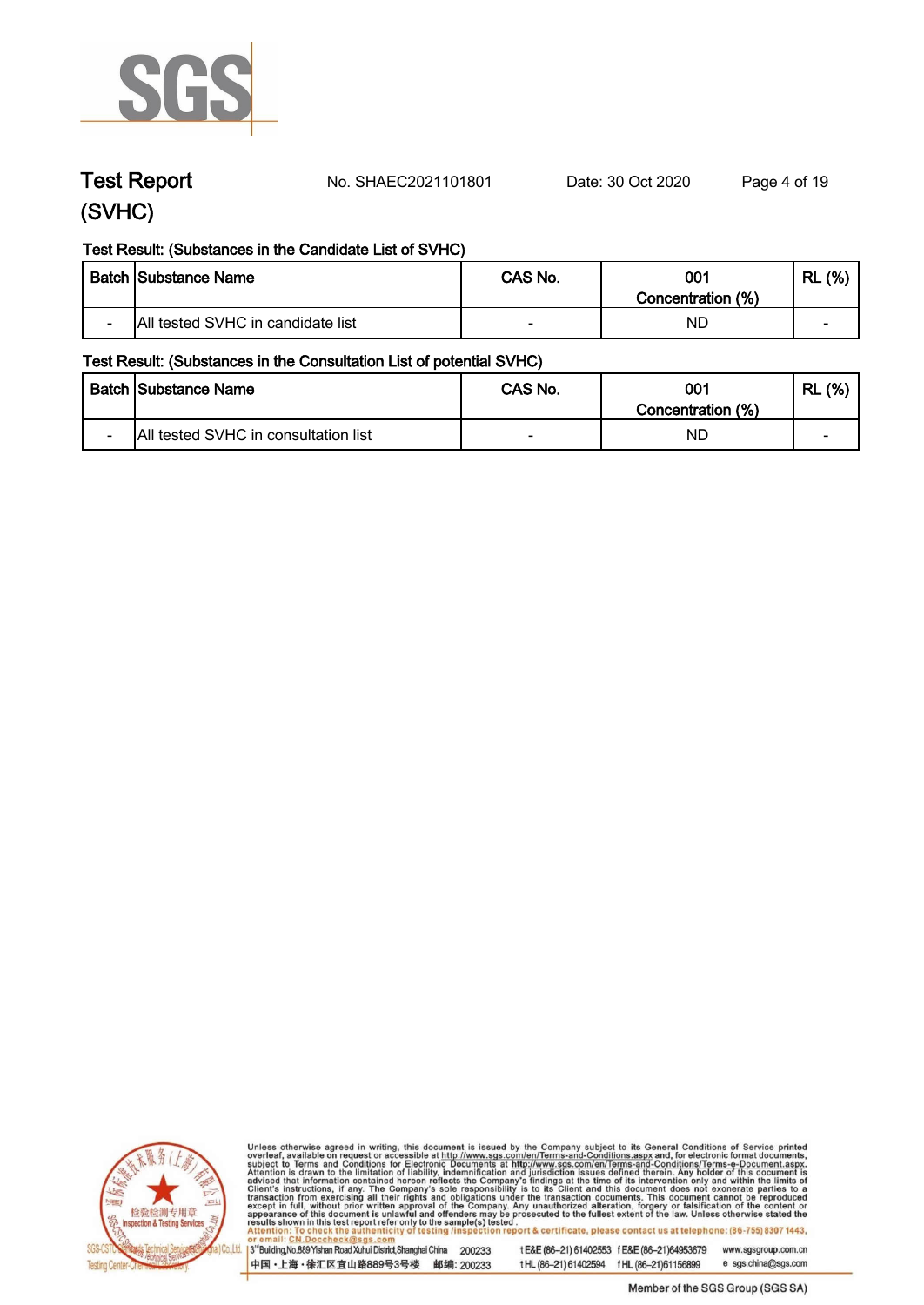

**Test Report. No. SHAEC2021101801 Date: 30 Oct 2020. Page 4 of 19.**

## **Test Result: (Substances in the Candidate List of SVHC)**

|        | <b>Batch Substance Name</b>       | CAS No. | 001<br>Concentration (%) | (% )<br>RL               |
|--------|-----------------------------------|---------|--------------------------|--------------------------|
| $\sim$ | All tested SVHC in candidate list |         | ND.                      | $\overline{\phantom{0}}$ |

## **Test Result: (Substances in the Consultation List of potential SVHC)**

|                          | <b>Batch Substance Name</b>          | CAS No.                  | 001<br>Concentration (%) | (% )<br>RL               |
|--------------------------|--------------------------------------|--------------------------|--------------------------|--------------------------|
| $\overline{\phantom{0}}$ | All tested SVHC in consultation list | $\overline{\phantom{0}}$ | NL                       | $\overline{\phantom{a}}$ |



Unless otherwise agreed in writing, this document is issued by the Company subject to its General Conditions of Service printed overleaf, available on request or accessible at http://www.sgs.com/en/Terms-and-Conditions.asp

3<sup>'</sup>Building, No.889 Yishan Road Xuhui District, Shanghai China 200233 中国·上海·徐汇区宜山路889号3号楼 邮编: 200233

tE&E (86-21) 61402553 fE&E (86-21)64953679 www.sgsgroup.com.cn e sgs.china@sgs.com

tHL (86-21) 61402594 fHL (86-21) 61156899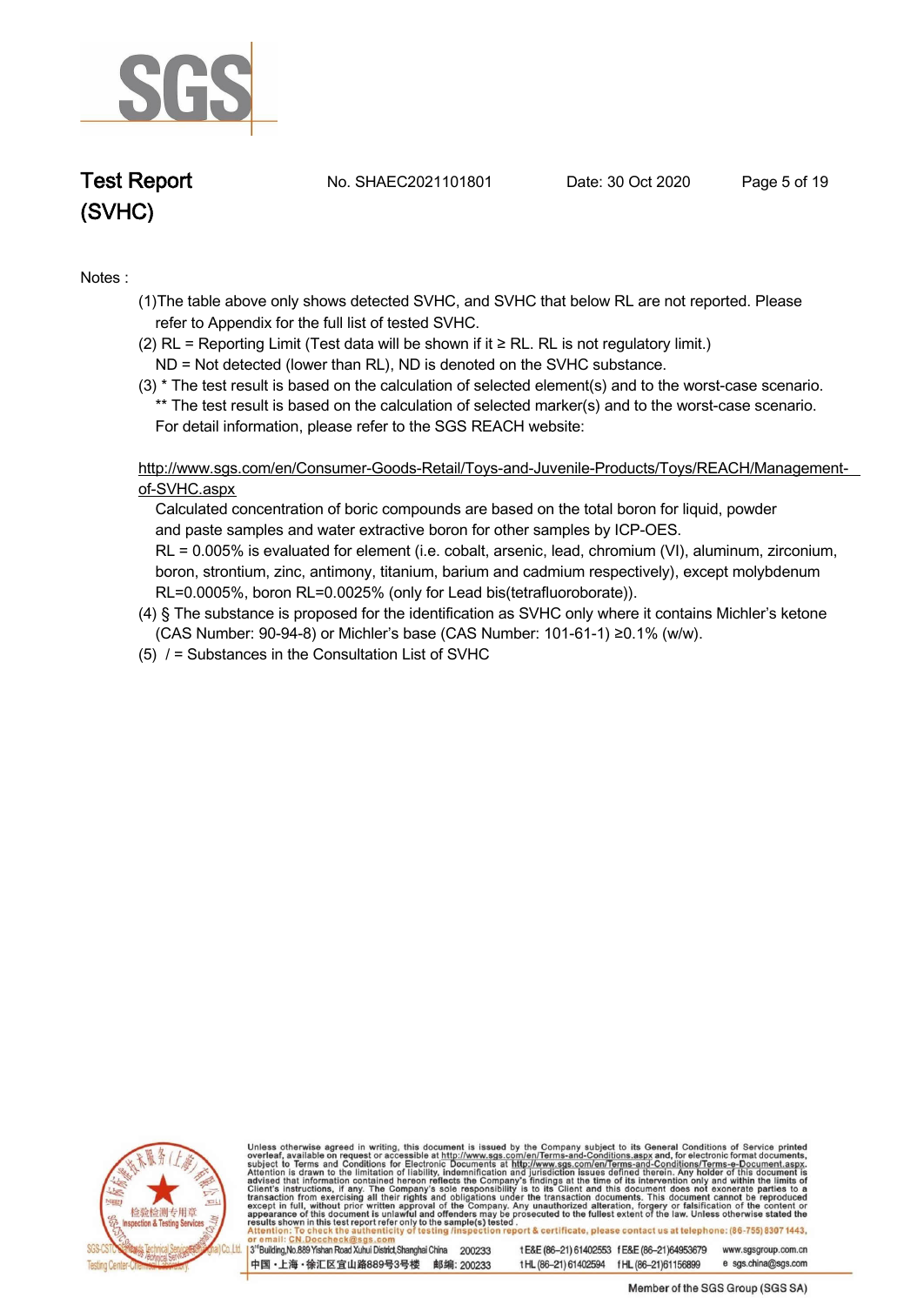

**Test Report. No. SHAEC2021101801 Date: 30 Oct 2020. Page 5 of 19.**

### **Notes :.**

- **(1)The table above only shows detected SVHC, and SVHC that below RL are not reported. Please refer to Appendix for the full list of tested SVHC.**
- **(2) RL = Reporting Limit (Test data will be shown if it ≥ RL. RL is not regulatory limit.)**
- **ND = Not detected (lower than RL), ND is denoted on the SVHC substance.**
- **(3) \* The test result is based on the calculation of selected element(s) and to the worst-case scenario. \*\* The test result is based on the calculation of selected marker(s) and to the worst-case scenario. For detail information, please refer to the SGS REACH website:**

 **http://www.sgs.com/en/Consumer-Goods-Retail/Toys-and-Juvenile-Products/Toys/REACH/Managementof-SVHC.aspx**

 **Calculated concentration of boric compounds are based on the total boron for liquid, powder and paste samples and water extractive boron for other samples by ICP-OES. RL = 0.005% is evaluated for element (i.e. cobalt, arsenic, lead, chromium (VI), aluminum, zirconium, boron, strontium, zinc, antimony, titanium, barium and cadmium respectively), except molybdenum RL=0.0005%, boron RL=0.0025% (only for Lead bis(tetrafluoroborate)).**

- **(4) § The substance is proposed for the identification as SVHC only where it contains Michler's ketone (CAS Number: 90-94-8) or Michler's base (CAS Number: 101-61-1) ≥0.1% (w/w).**
- **(5) / = Substances in the Consultation List of SVHC .**



Unless otherwise agreed in writing, this document is issued by the Company subject to its General Conditions of Service printed overleaf, available on request or accessible at http://www.sgs.com/en/Terms-and-Conditions.asp report & certificate, please contact us at telephone: (86-755) 8307 1443, sting /i

3<sup>rd</sup>Building, No.889 Yishan Road Xuhui District, Shanghai China 200233 中国·上海·徐汇区宜山路889号3号楼 邮编: 200233 t E&E (86-21) 61402553 f E&E (86-21)64953679 www.sgsgroup.com.cn

t HL (86-21) 61402594 f HL (86-21) 61156899 e sgs.china@sgs.com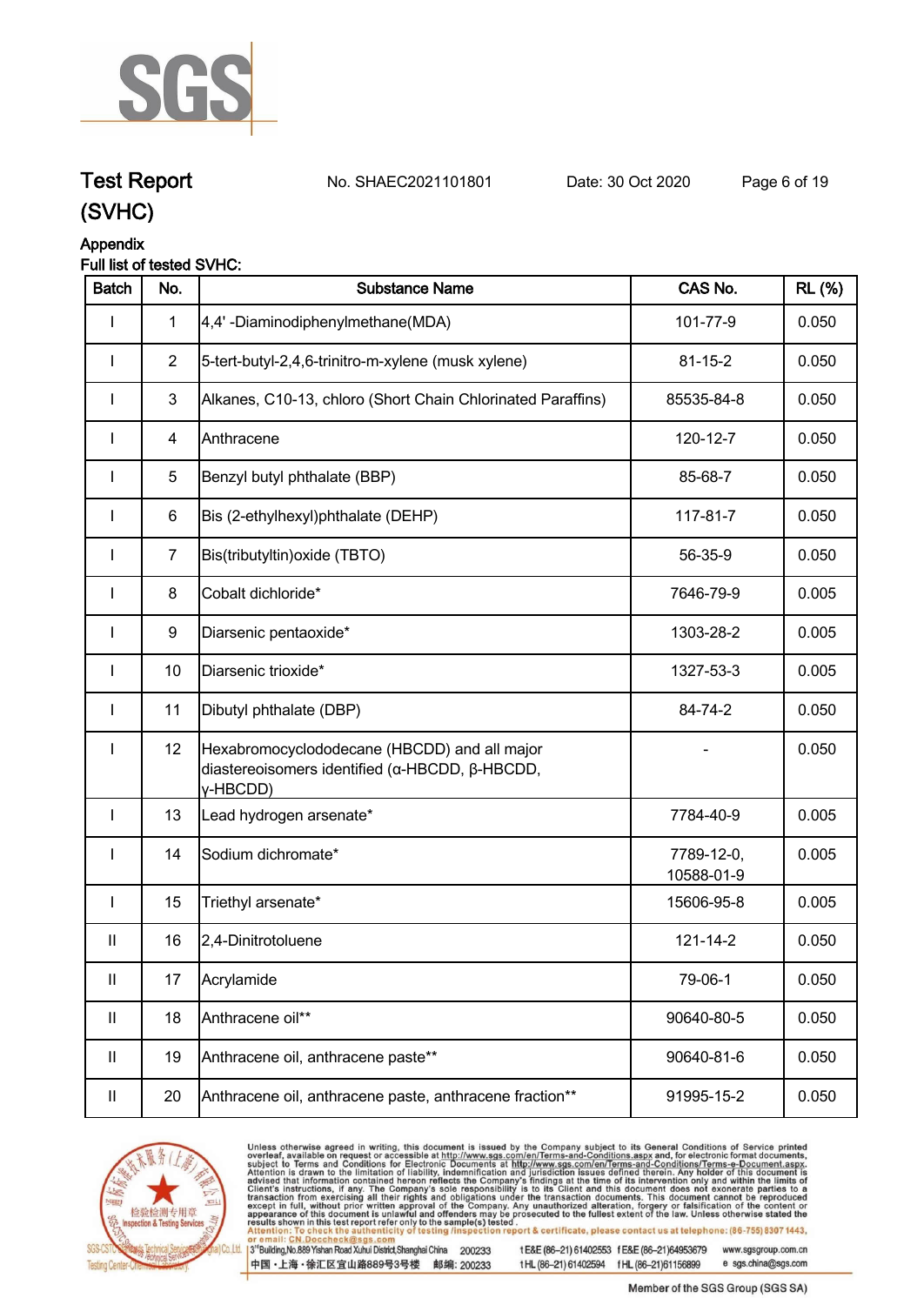

**Test Report. No. SHAEC2021101801 Date: 30 Oct 2020. Page 6 of 19.**

# **(SVHC)**

## **Appendix**

## **Full list of tested SVHC:**

| <b>Batch</b>               | No.            | <b>Substance Name</b>                                                                                      | CAS No.                  | <b>RL</b> (%) |
|----------------------------|----------------|------------------------------------------------------------------------------------------------------------|--------------------------|---------------|
| I                          | $\mathbf{1}$   | 4,4'-Diaminodiphenylmethane(MDA)                                                                           | 101-77-9                 | 0.050         |
| $\mathbf{I}$               | $\overline{2}$ | 5-tert-butyl-2,4,6-trinitro-m-xylene (musk xylene)                                                         | $81 - 15 - 2$            | 0.050         |
|                            | 3              | Alkanes, C10-13, chloro (Short Chain Chlorinated Paraffins)                                                | 85535-84-8               | 0.050         |
|                            | 4              | Anthracene                                                                                                 | 120-12-7                 | 0.050         |
| I                          | 5              | Benzyl butyl phthalate (BBP)                                                                               | 85-68-7                  | 0.050         |
| L                          | 6              | Bis (2-ethylhexyl)phthalate (DEHP)                                                                         | 117-81-7                 | 0.050         |
| I                          | $\overline{7}$ | Bis(tributyltin) oxide (TBTO)                                                                              | 56-35-9                  | 0.050         |
| $\mathbf{I}$               | 8              | Cobalt dichloride*                                                                                         | 7646-79-9                | 0.005         |
| I                          | 9              | Diarsenic pentaoxide*                                                                                      | 1303-28-2                | 0.005         |
| I                          | 10             | Diarsenic trioxide*                                                                                        | 1327-53-3                | 0.005         |
| $\mathbf{I}$               | 11             | Dibutyl phthalate (DBP)                                                                                    | 84-74-2                  | 0.050         |
| I                          | 12             | Hexabromocyclododecane (HBCDD) and all major<br>diastereoisomers identified (α-HBCDD, β-HBCDD,<br>y-HBCDD) |                          | 0.050         |
| $\mathbf{I}$               | 13             | Lead hydrogen arsenate*                                                                                    | 7784-40-9                | 0.005         |
| $\mathbf{I}$               | 14             | Sodium dichromate*                                                                                         | 7789-12-0,<br>10588-01-9 | 0.005         |
| $\mathbf{I}$               | 15             | Triethyl arsenate*                                                                                         | 15606-95-8               | 0.005         |
| $\mathsf{I}$               | 16             | 2,4-Dinitrotoluene                                                                                         | 121-14-2                 | 0.050         |
| $\ensuremath{\mathsf{II}}$ | 17             | Acrylamide                                                                                                 | 79-06-1                  | 0.050         |
| $\mathbf{II}$              | 18             | Anthracene oil**                                                                                           | 90640-80-5               | 0.050         |
| $\mathbf{II}$              | 19             | Anthracene oil, anthracene paste**                                                                         | 90640-81-6               | 0.050         |
| Ш                          | 20             | Anthracene oil, anthracene paste, anthracene fraction**                                                    | 91995-15-2               | 0.050         |



Unless otherwise agreed in writing, this document is issued by the Company subject to its General Conditions of Service printed overleaf, available on request or accessible at http://www.sgs.com/en/Terms-and-Conditions.asp

3<sup>te</sup>Building, No.889 Yishan Road Xuhui District, Shanghai China 200233 中国·上海·徐汇区宜山路889号3号楼 邮编: 200233

tE&E (86-21) 61402553 fE&E (86-21)64953679 www.sgsgroup.com.cn

tHL (86-21) 61402594 fHL (86-21)61156899 e sgs.china@sgs.com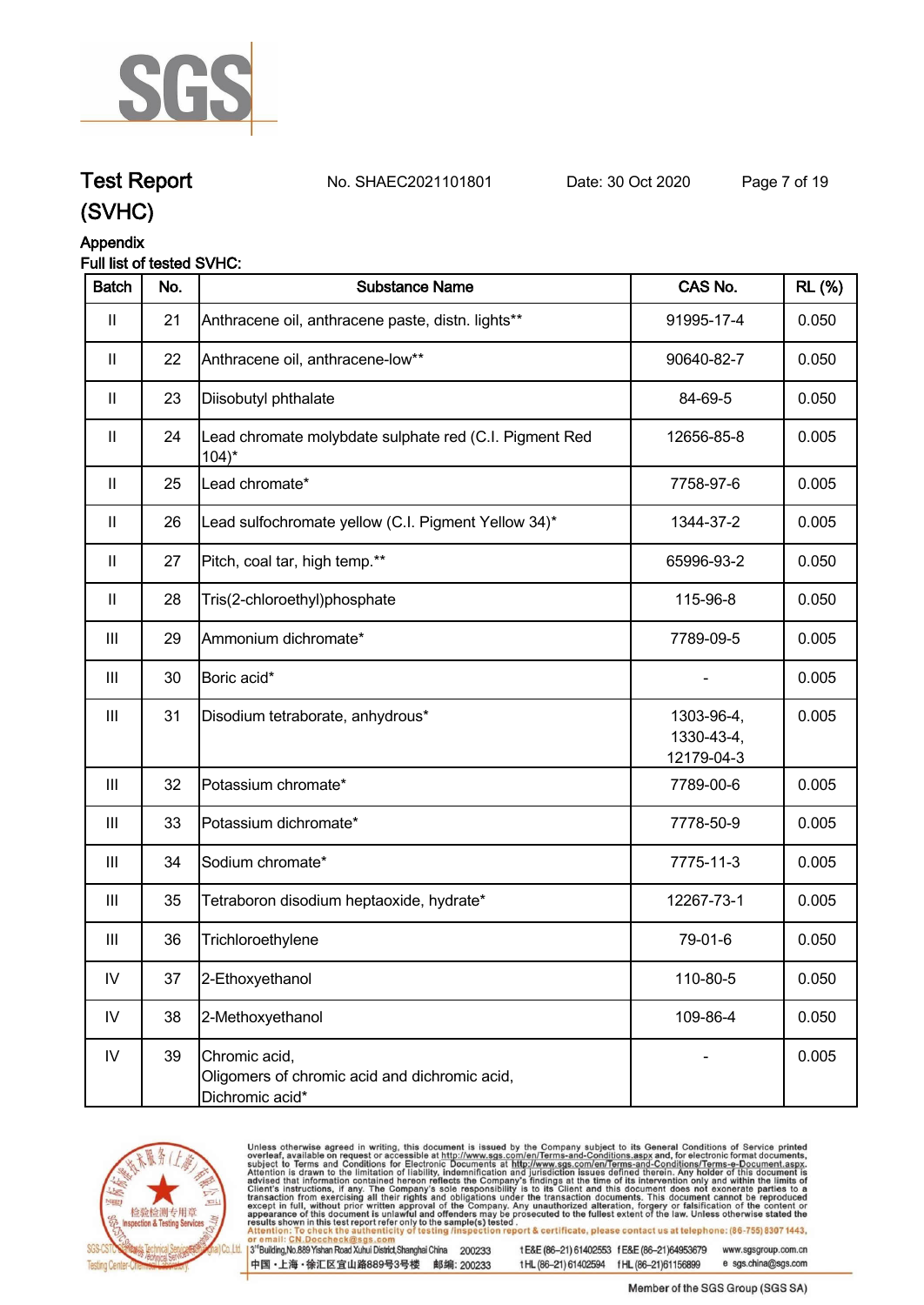

## **Test Report. No. SHAEC2021101801 Date: 30 Oct 2020. Page 7 of 19.**

**(SVHC)**

## **Appendix**

## **Full list of tested SVHC:**

| <b>Batch</b>       | No. | <b>Substance Name</b>                                                             | CAS No.                                | <b>RL</b> (%) |
|--------------------|-----|-----------------------------------------------------------------------------------|----------------------------------------|---------------|
| Ш                  | 21  | Anthracene oil, anthracene paste, distn. lights**                                 | 91995-17-4                             | 0.050         |
| Ш                  | 22  | Anthracene oil, anthracene-low**                                                  | 90640-82-7                             | 0.050         |
| Ш                  | 23  | Diisobutyl phthalate                                                              | 84-69-5                                | 0.050         |
| $\mathbf{II}$      | 24  | Lead chromate molybdate sulphate red (C.I. Pigment Red<br>$104$ <sup>*</sup>      | 12656-85-8                             | 0.005         |
| $\mathbf{II}$      | 25  | Lead chromate*                                                                    | 7758-97-6                              | 0.005         |
| Ш                  | 26  | Lead sulfochromate yellow (C.I. Pigment Yellow 34)*                               | 1344-37-2                              | 0.005         |
| $\mathsf{I}$       | 27  | Pitch, coal tar, high temp.**                                                     | 65996-93-2                             | 0.050         |
| Ш                  | 28  | Tris(2-chloroethyl)phosphate                                                      | 115-96-8                               | 0.050         |
| Ш                  | 29  | Ammonium dichromate*                                                              | 7789-09-5                              | 0.005         |
| $\mathop{\rm III}$ | 30  | Boric acid*                                                                       |                                        | 0.005         |
| $\mathop{\rm III}$ | 31  | Disodium tetraborate, anhydrous*                                                  | 1303-96-4,<br>1330-43-4,<br>12179-04-3 | 0.005         |
| Ш                  | 32  | Potassium chromate*                                                               | 7789-00-6                              | 0.005         |
| Ш                  | 33  | Potassium dichromate*                                                             | 7778-50-9                              | 0.005         |
| Ш                  | 34  | Sodium chromate*                                                                  | 7775-11-3                              | 0.005         |
| $\mathop{\rm III}$ | 35  | Tetraboron disodium heptaoxide, hydrate*                                          | 12267-73-1                             | 0.005         |
| Ш                  | 36  | Trichloroethylene                                                                 | 79-01-6                                | 0.050         |
| ${\sf IV}$         | 37  | 2-Ethoxyethanol                                                                   | 110-80-5                               | 0.050         |
| ${\sf IV}$         | 38  | 2-Methoxyethanol                                                                  | 109-86-4                               | 0.050         |
| ${\sf IV}$         | 39  | Chromic acid,<br>Oligomers of chromic acid and dichromic acid,<br>Dichromic acid* |                                        | 0.005         |



Unless otherwise agreed in writing, this document is issued by the Company subject to its General Conditions of Service printed overleaf, available on request or accessible at http://www.sgs.com/en/Terms-and-Conditions.asp

3<sup>te</sup>Building, No.889 Yishan Road Xuhui District, Shanghai China 200233 中国·上海·徐汇区宜山路889号3号楼 邮编: 200233

tE&E (86-21) 61402553 fE&E (86-21)64953679 www.sgsgroup.com.cn e sgs.china@sgs.com tHL (86-21) 61402594 fHL (86-21)61156899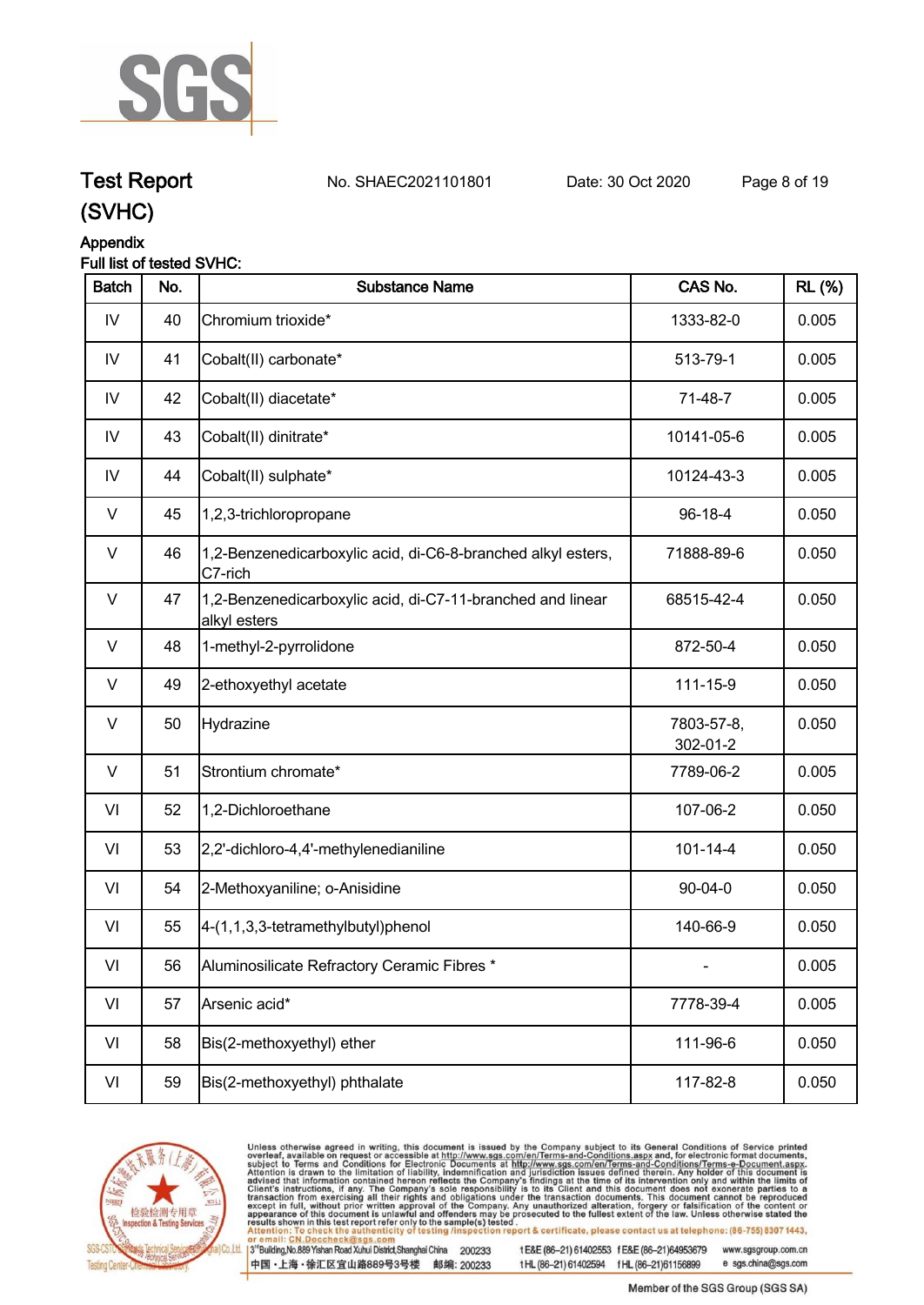

## **Test Report. No. SHAEC2021101801 Date: 30 Oct 2020. Page 8 of 19.**

**(SVHC)**

## **Appendix**

## **Full list of tested SVHC:**

| <b>Batch</b> | No. | <b>Substance Name</b>                                                      | CAS No.                | <b>RL</b> (%) |
|--------------|-----|----------------------------------------------------------------------------|------------------------|---------------|
| IV           | 40  | Chromium trioxide*                                                         | 1333-82-0              | 0.005         |
| IV           | 41  | Cobalt(II) carbonate*                                                      | 513-79-1               | 0.005         |
| IV           | 42  | Cobalt(II) diacetate*                                                      | 71-48-7                | 0.005         |
| IV           | 43  | Cobalt(II) dinitrate*                                                      | 10141-05-6             | 0.005         |
| IV           | 44  | Cobalt(II) sulphate*                                                       | 10124-43-3             | 0.005         |
| $\vee$       | 45  | 1,2,3-trichloropropane                                                     | 96-18-4                | 0.050         |
| V            | 46  | 1,2-Benzenedicarboxylic acid, di-C6-8-branched alkyl esters,<br>C7-rich    | 71888-89-6             | 0.050         |
| V            | 47  | 1,2-Benzenedicarboxylic acid, di-C7-11-branched and linear<br>alkyl esters | 68515-42-4             | 0.050         |
| V            | 48  | 1-methyl-2-pyrrolidone                                                     | 872-50-4               | 0.050         |
| V            | 49  | 2-ethoxyethyl acetate                                                      | 111-15-9               | 0.050         |
| $\vee$       | 50  | Hydrazine                                                                  | 7803-57-8,<br>302-01-2 | 0.050         |
| $\vee$       | 51  | Strontium chromate*                                                        | 7789-06-2              | 0.005         |
| VI           | 52  | 1,2-Dichloroethane                                                         | 107-06-2               | 0.050         |
| VI           | 53  | 2,2'-dichloro-4,4'-methylenedianiline                                      | $101 - 14 - 4$         | 0.050         |
| VI           | 54  | 2-Methoxyaniline; o-Anisidine                                              | $90 - 04 - 0$          | 0.050         |
| VI           | 55  | 4-(1,1,3,3-tetramethylbutyl)phenol                                         | 140-66-9               | 0.050         |
| VI           | 56  | Aluminosilicate Refractory Ceramic Fibres *                                |                        | 0.005         |
| VI           | 57  | Arsenic acid*                                                              | 7778-39-4              | 0.005         |
| VI           | 58  | Bis(2-methoxyethyl) ether                                                  | 111-96-6               | 0.050         |
| VI           | 59  | Bis(2-methoxyethyl) phthalate                                              | 117-82-8               | 0.050         |



Unless otherwise agreed in writing, this document is issued by the Company subject to its General Conditions of Service printed overleaf, available on request or accessible at http://www.sgs.com/en/Terms-and-Conditions.asp

3<sup>te</sup>Building, No.889 Yishan Road Xuhui District, Shanghai China 200233 中国·上海·徐汇区宜山路889号3号楼 邮编: 200233

tE&E (86-21) 61402553 fE&E (86-21)64953679 www.sgsgroup.com.cn e sgs.china@sgs.com tHL (86-21) 61402594 fHL (86-21)61156899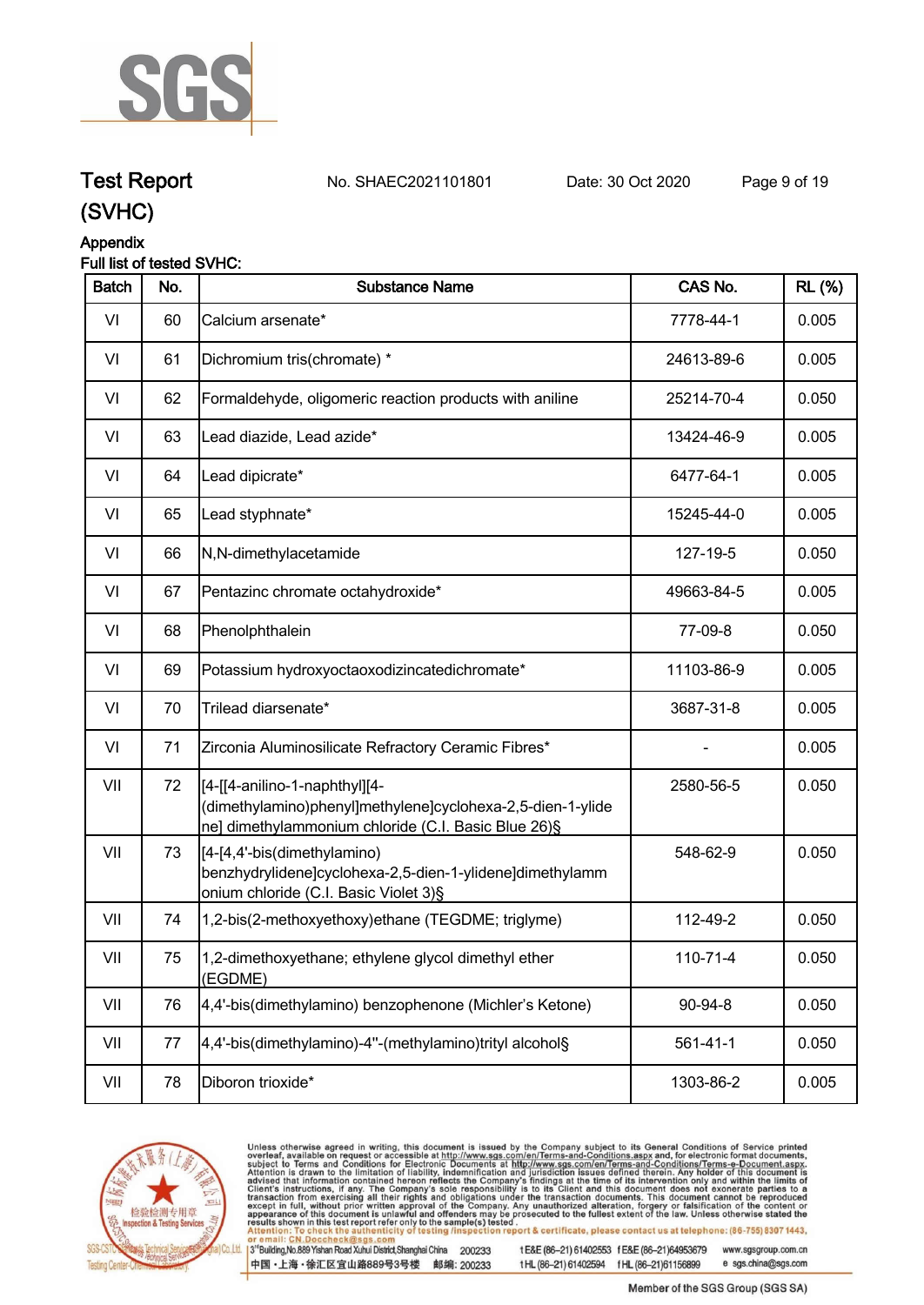

**Test Report. No. SHAEC2021101801 Date: 30 Oct 2020. Page 9 of 19.**

## **(SVHC)**

## **Appendix**

## **Full list of tested SVHC:**

| <b>Batch</b> | No. | <b>Substance Name</b>                                                                                                                              | CAS No.        | <b>RL (%)</b> |
|--------------|-----|----------------------------------------------------------------------------------------------------------------------------------------------------|----------------|---------------|
| VI           | 60  | Calcium arsenate*                                                                                                                                  | 7778-44-1      | 0.005         |
| VI           | 61  | Dichromium tris(chromate) *                                                                                                                        | 24613-89-6     | 0.005         |
| VI           | 62  | Formaldehyde, oligomeric reaction products with aniline                                                                                            | 25214-70-4     | 0.050         |
| VI           | 63  | Lead diazide, Lead azide*                                                                                                                          | 13424-46-9     | 0.005         |
| VI           | 64  | Lead dipicrate*                                                                                                                                    | 6477-64-1      | 0.005         |
| VI           | 65  | Lead styphnate*                                                                                                                                    | 15245-44-0     | 0.005         |
| VI           | 66  | N,N-dimethylacetamide                                                                                                                              | 127-19-5       | 0.050         |
| VI           | 67  | Pentazinc chromate octahydroxide*                                                                                                                  | 49663-84-5     | 0.005         |
| VI           | 68  | Phenolphthalein                                                                                                                                    | 77-09-8        | 0.050         |
| VI           | 69  | Potassium hydroxyoctaoxodizincatedichromate*                                                                                                       | 11103-86-9     | 0.005         |
| VI           | 70  | Trilead diarsenate*                                                                                                                                | 3687-31-8      | 0.005         |
| VI           | 71  | Zirconia Aluminosilicate Refractory Ceramic Fibres*                                                                                                |                | 0.005         |
| VII          | 72  | [4-[[4-anilino-1-naphthyl][4-<br>(dimethylamino)phenyl]methylene]cyclohexa-2,5-dien-1-ylide<br>ne] dimethylammonium chloride (C.I. Basic Blue 26)§ | 2580-56-5      | 0.050         |
| VII          | 73  | [[4-[4,4'-bis(dimethylamino)<br>benzhydrylidene]cyclohexa-2,5-dien-1-ylidene]dimethylamm<br>onium chloride (C.I. Basic Violet 3)§                  | 548-62-9       | 0.050         |
| VII          | 74  | 1,2-bis(2-methoxyethoxy)ethane (TEGDME; triglyme)                                                                                                  | 112-49-2       | 0.050         |
| VII          | 75  | 1,2-dimethoxyethane; ethylene glycol dimethyl ether<br>(EGDME)                                                                                     | $110 - 71 - 4$ | 0.050         |
| VII          | 76  | 4,4'-bis(dimethylamino) benzophenone (Michler's Ketone)                                                                                            | 90-94-8        | 0.050         |
| VII          | 77  | 4,4'-bis(dimethylamino)-4"-(methylamino)trityl alcohol§                                                                                            | $561 - 41 - 1$ | 0.050         |
| VII          | 78  | Diboron trioxide*                                                                                                                                  | 1303-86-2      | 0.005         |
|              |     |                                                                                                                                                    |                |               |



Unless otherwise agreed in writing, this document is issued by the Company subject to its General Conditions of Service printed overleaf, available on request or accessible at http://www.sgs.com/en/Terms-and-Conditions.asp

3<sup>te</sup>Building, No.889 Yishan Road Xuhui District, Shanghai China 200233 中国·上海·徐汇区宜山路889号3号楼 邮编: 200233

tE&E (86-21) 61402553 fE&E (86-21)64953679 www.sgsgroup.com.cn

tHL (86-21) 61402594 fHL (86-21)61156899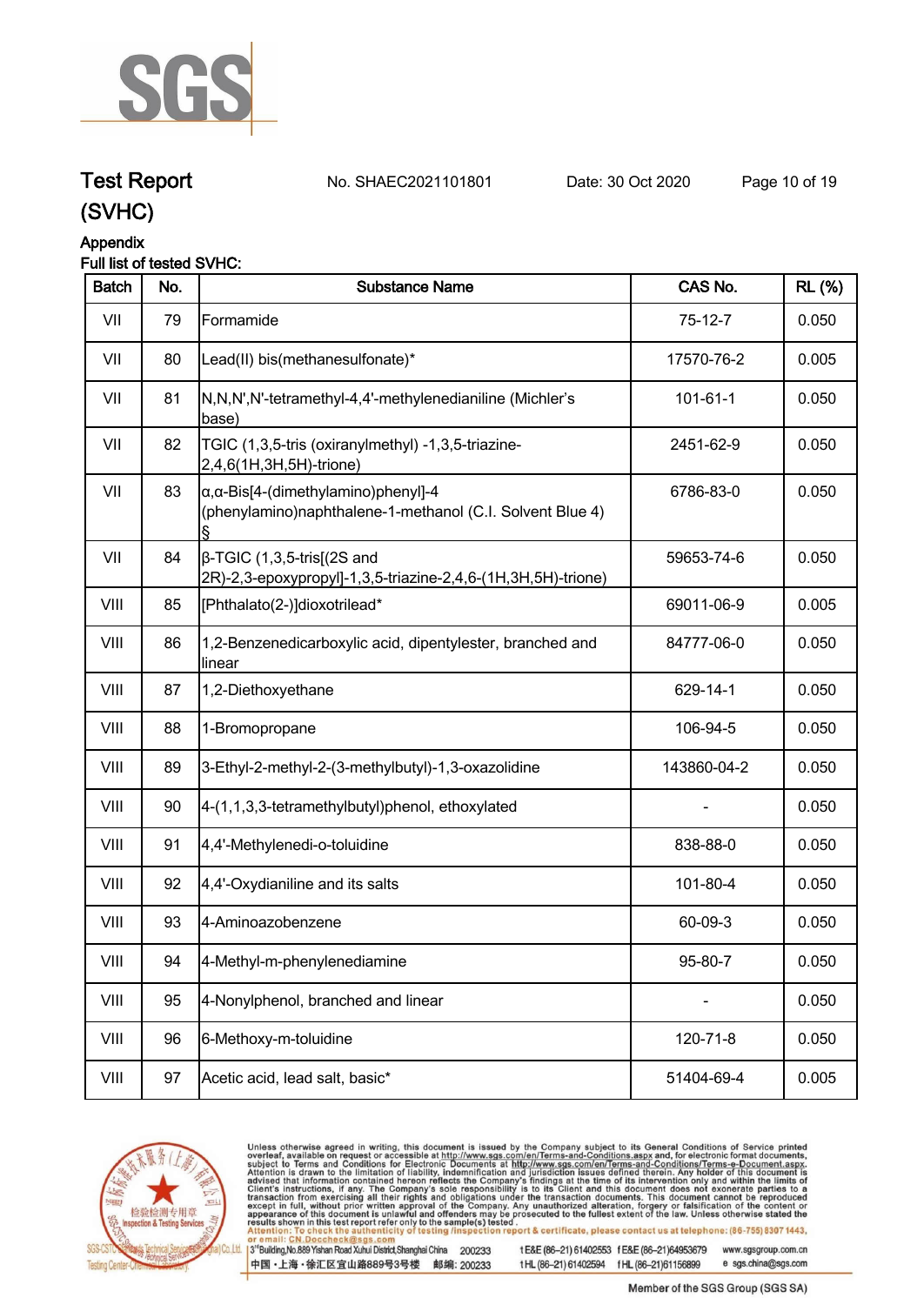

## **Test Report. No. SHAEC2021101801 Date: 30 Oct 2020. Page 10 of 19.**

**(SVHC)**

## **Appendix**

## **Full list of tested SVHC:**

| <b>Batch</b> | No. | <b>Substance Name</b>                                                                                            | CAS No.        | <b>RL (%)</b> |
|--------------|-----|------------------------------------------------------------------------------------------------------------------|----------------|---------------|
| VII          | 79  | Formamide                                                                                                        | $75-12-7$      | 0.050         |
| VII          | 80  | Lead(II) bis(methanesulfonate)*                                                                                  | 17570-76-2     | 0.005         |
| VII          | 81  | N,N,N',N'-tetramethyl-4,4'-methylenedianiline (Michler's<br>base)                                                | $101 - 61 - 1$ | 0.050         |
| VII          | 82  | TGIC (1,3,5-tris (oxiranylmethyl) -1,3,5-triazine-<br>2,4,6(1H,3H,5H)-trione)                                    | 2451-62-9      | 0.050         |
| VII          | 83  | $\alpha$ , $\alpha$ -Bis[4-(dimethylamino)phenyl]-4<br>(phenylamino)naphthalene-1-methanol (C.I. Solvent Blue 4) | 6786-83-0      | 0.050         |
| VII          | 84  | $\beta$ -TGIC (1,3,5-tris[(2S and<br>2R)-2,3-epoxypropyl]-1,3,5-triazine-2,4,6-(1H,3H,5H)-trione)                | 59653-74-6     | 0.050         |
| VIII         | 85  | [Phthalato(2-)]dioxotrilead*                                                                                     | 69011-06-9     | 0.005         |
| VIII         | 86  | 1,2-Benzenedicarboxylic acid, dipentylester, branched and<br>linear                                              | 84777-06-0     | 0.050         |
| VIII         | 87  | 1,2-Diethoxyethane                                                                                               | 629-14-1       | 0.050         |
| VIII         | 88  | 1-Bromopropane                                                                                                   | 106-94-5       | 0.050         |
| VIII         | 89  | 3-Ethyl-2-methyl-2-(3-methylbutyl)-1,3-oxazolidine                                                               | 143860-04-2    | 0.050         |
| VIII         | 90  | 4-(1,1,3,3-tetramethylbutyl)phenol, ethoxylated                                                                  |                | 0.050         |
| VIII         | 91  | 4,4'-Methylenedi-o-toluidine                                                                                     | 838-88-0       | 0.050         |
| VIII         | 92  | 4,4'-Oxydianiline and its salts                                                                                  | 101-80-4       | 0.050         |
| VIII         | 93  | 4-Aminoazobenzene                                                                                                | 60-09-3        | 0.050         |
| VIII         | 94  | 4-Methyl-m-phenylenediamine                                                                                      | 95-80-7        | 0.050         |
| VIII         | 95  | 4-Nonylphenol, branched and linear                                                                               |                | 0.050         |
| VIII         | 96  | 6-Methoxy-m-toluidine                                                                                            | 120-71-8       | 0.050         |
| VIII         | 97  | Acetic acid, lead salt, basic*                                                                                   | 51404-69-4     | 0.005         |



Unless otherwise agreed in writing, this document is issued by the Company subject to its General Conditions of Service printed overleaf, available on request or accessible at http://www.sgs.com/en/Terms-and-Conditions.asp

3<sup>te</sup>Building, No.889 Yishan Road Xuhui District, Shanghai China 200233 中国·上海·徐汇区宜山路889号3号楼 邮编: 200233

tE&E (86-21) 61402553 fE&E (86-21)64953679 www.sgsgroup.com.cn

tHL (86-21) 61402594 fHL (86-21)61156899 e sgs.china@sgs.com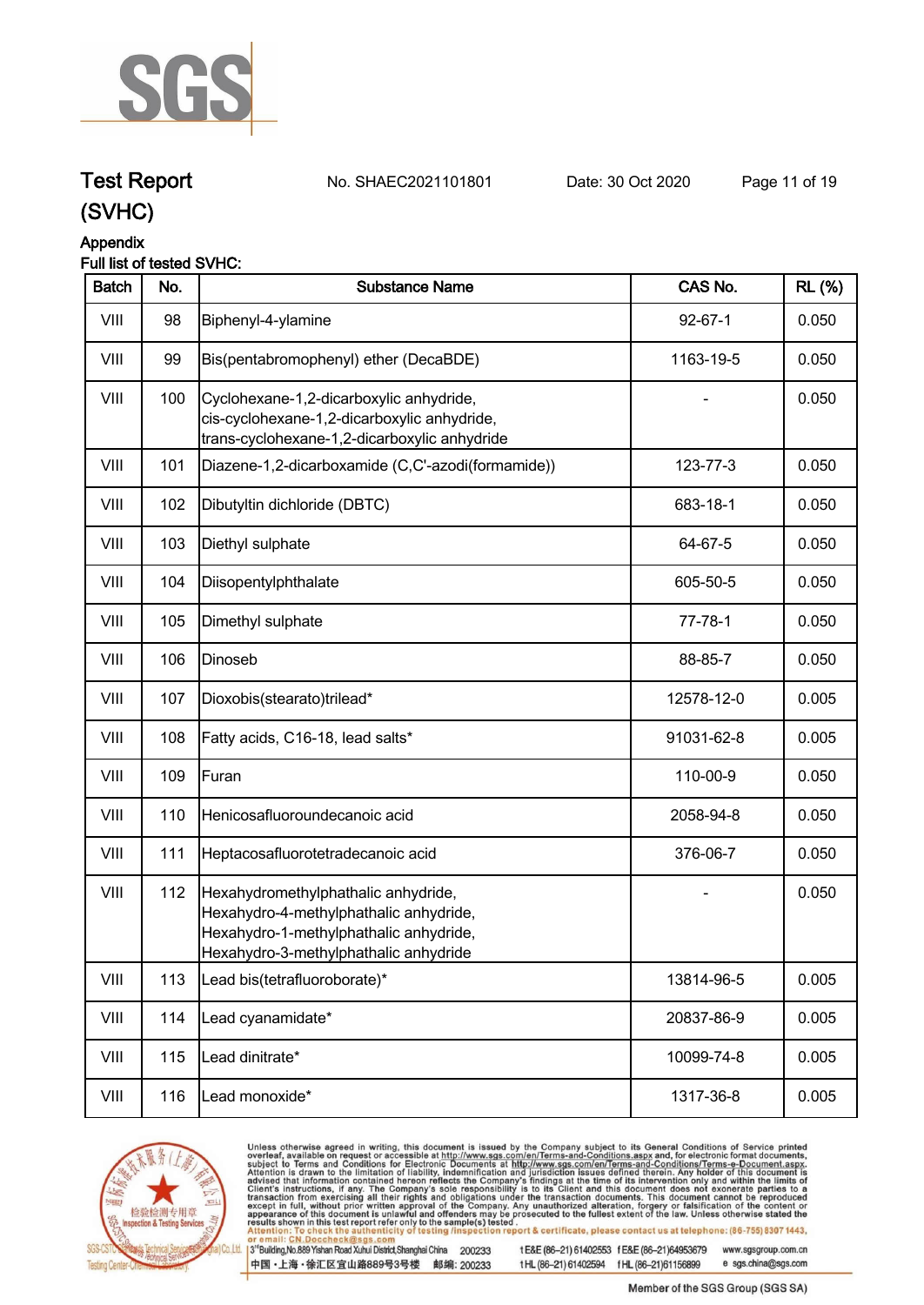

## **Test Report. No. SHAEC2021101801 Date: 30 Oct 2020. Page 11 of 19.**

## **(SVHC)**

## **Appendix**

## **Full list of tested SVHC:**

| <b>Batch</b> | No. | <b>Substance Name</b>                                                                                                                                            | CAS No.       | <b>RL</b> (%) |
|--------------|-----|------------------------------------------------------------------------------------------------------------------------------------------------------------------|---------------|---------------|
| VIII         | 98  | Biphenyl-4-ylamine                                                                                                                                               | $92 - 67 - 1$ | 0.050         |
| VIII         | 99  | Bis(pentabromophenyl) ether (DecaBDE)                                                                                                                            | 1163-19-5     | 0.050         |
| VIII         | 100 | Cyclohexane-1,2-dicarboxylic anhydride,<br>cis-cyclohexane-1,2-dicarboxylic anhydride,<br>trans-cyclohexane-1,2-dicarboxylic anhydride                           |               | 0.050         |
| VIII         | 101 | Diazene-1,2-dicarboxamide (C,C'-azodi(formamide))                                                                                                                | 123-77-3      | 0.050         |
| VIII         | 102 | Dibutyltin dichloride (DBTC)                                                                                                                                     | 683-18-1      | 0.050         |
| VIII         | 103 | Diethyl sulphate                                                                                                                                                 | 64-67-5       | 0.050         |
| VIII         | 104 | Diisopentylphthalate                                                                                                                                             | 605-50-5      | 0.050         |
| VIII         | 105 | Dimethyl sulphate                                                                                                                                                | $77 - 78 - 1$ | 0.050         |
| VIII         | 106 | Dinoseb                                                                                                                                                          | 88-85-7       | 0.050         |
| VIII         | 107 | Dioxobis(stearato)trilead*                                                                                                                                       | 12578-12-0    | 0.005         |
| VIII         | 108 | Fatty acids, C16-18, lead salts*                                                                                                                                 | 91031-62-8    | 0.005         |
| VIII         | 109 | Furan                                                                                                                                                            | 110-00-9      | 0.050         |
| VIII         | 110 | Henicosafluoroundecanoic acid                                                                                                                                    | 2058-94-8     | 0.050         |
| VIII         | 111 | Heptacosafluorotetradecanoic acid                                                                                                                                | 376-06-7      | 0.050         |
| VIII         | 112 | Hexahydromethylphathalic anhydride,<br>Hexahydro-4-methylphathalic anhydride,<br>Hexahydro-1-methylphathalic anhydride,<br>Hexahydro-3-methylphathalic anhydride |               | 0.050         |
| VIII         | 113 | Lead bis(tetrafluoroborate)*                                                                                                                                     | 13814-96-5    | 0.005         |
| VIII         | 114 | Lead cyanamidate*                                                                                                                                                | 20837-86-9    | 0.005         |
| VIII         | 115 | Lead dinitrate*                                                                                                                                                  | 10099-74-8    | 0.005         |
| VIII         | 116 | Lead monoxide*                                                                                                                                                   | 1317-36-8     | 0.005         |



Unless otherwise agreed in writing, this document is issued by the Company subject to its General Conditions of Service printed overleaf, available on request or accessible at http://www.sgs.com/en/Terms-and-Conditions.asp

3<sup>te</sup>Building, No.889 Yishan Road Xuhui District, Shanghai China 200233 中国·上海·徐汇区宜山路889号3号楼 邮编: 200233

tE&E (86-21) 61402553 fE&E (86-21)64953679 www.sgsgroup.com.cn tHL (86-21) 61402594 fHL (86-21)61156899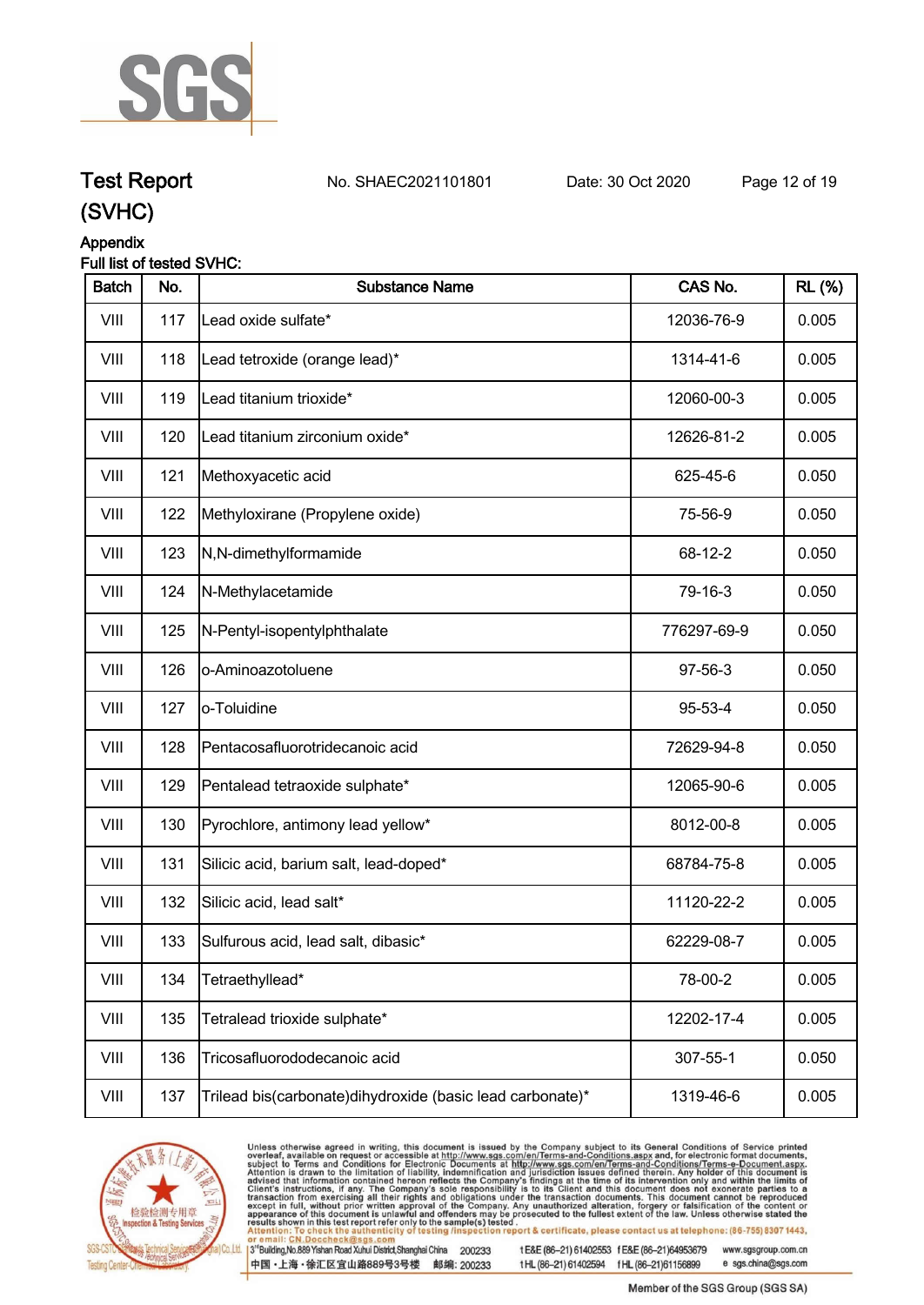

**Test Report. No. SHAEC2021101801 Date: 30 Oct 2020. Page 12 of 19.**

## **(SVHC)**

## **Appendix**

### **Full list of tested SVHC:**

| <b>Batch</b> | No. | <b>Substance Name</b>                                      | CAS No.     | <b>RL (%)</b> |
|--------------|-----|------------------------------------------------------------|-------------|---------------|
| VIII         | 117 | Lead oxide sulfate*                                        | 12036-76-9  | 0.005         |
| VIII         | 118 | Lead tetroxide (orange lead)*                              | 1314-41-6   | 0.005         |
| VIII         | 119 | Lead titanium trioxide*                                    | 12060-00-3  | 0.005         |
| VIII         | 120 | Lead titanium zirconium oxide*                             | 12626-81-2  | 0.005         |
| VIII         | 121 | Methoxyacetic acid                                         | 625-45-6    | 0.050         |
| VIII         | 122 | Methyloxirane (Propylene oxide)                            | 75-56-9     | 0.050         |
| VIII         | 123 | N,N-dimethylformamide                                      | 68-12-2     | 0.050         |
| VIII         | 124 | N-Methylacetamide                                          | 79-16-3     | 0.050         |
| VIII         | 125 | N-Pentyl-isopentylphthalate                                | 776297-69-9 | 0.050         |
| VIII         | 126 | o-Aminoazotoluene                                          | 97-56-3     | 0.050         |
| VIII         | 127 | o-Toluidine                                                | 95-53-4     | 0.050         |
| VIII         | 128 | Pentacosafluorotridecanoic acid                            | 72629-94-8  | 0.050         |
| VIII         | 129 | Pentalead tetraoxide sulphate*                             | 12065-90-6  | 0.005         |
| VIII         | 130 | Pyrochlore, antimony lead yellow*                          | 8012-00-8   | 0.005         |
| VIII         | 131 | Silicic acid, barium salt, lead-doped*                     | 68784-75-8  | 0.005         |
| VIII         | 132 | Silicic acid, lead salt*                                   | 11120-22-2  | 0.005         |
| VIII         | 133 | Sulfurous acid, lead salt, dibasic*                        | 62229-08-7  | 0.005         |
| VIII         | 134 | Tetraethyllead*                                            | 78-00-2     | 0.005         |
| VIII         | 135 | Tetralead trioxide sulphate*                               | 12202-17-4  | 0.005         |
| VIII         | 136 | Tricosafluorododecanoic acid                               | 307-55-1    | 0.050         |
| VIII         | 137 | Trilead bis(carbonate) dihydroxide (basic lead carbonate)* | 1319-46-6   | 0.005         |



Unless otherwise agreed in writing, this document is issued by the Company subject to its General Conditions of Service printed overleaf, available on request or accessible at http://www.sgs.com/en/Terms-and-Conditions.asp

3<sup>te</sup>Building, No.889 Yishan Road Xuhui District, Shanghai China 200233 中国·上海·徐汇区宜山路889号3号楼 邮编: 200233

tE&E (86-21) 61402553 fE&E (86-21)64953679 www.sgsgroup.com.cn

tHL (86-21) 61402594 fHL (86-21)61156899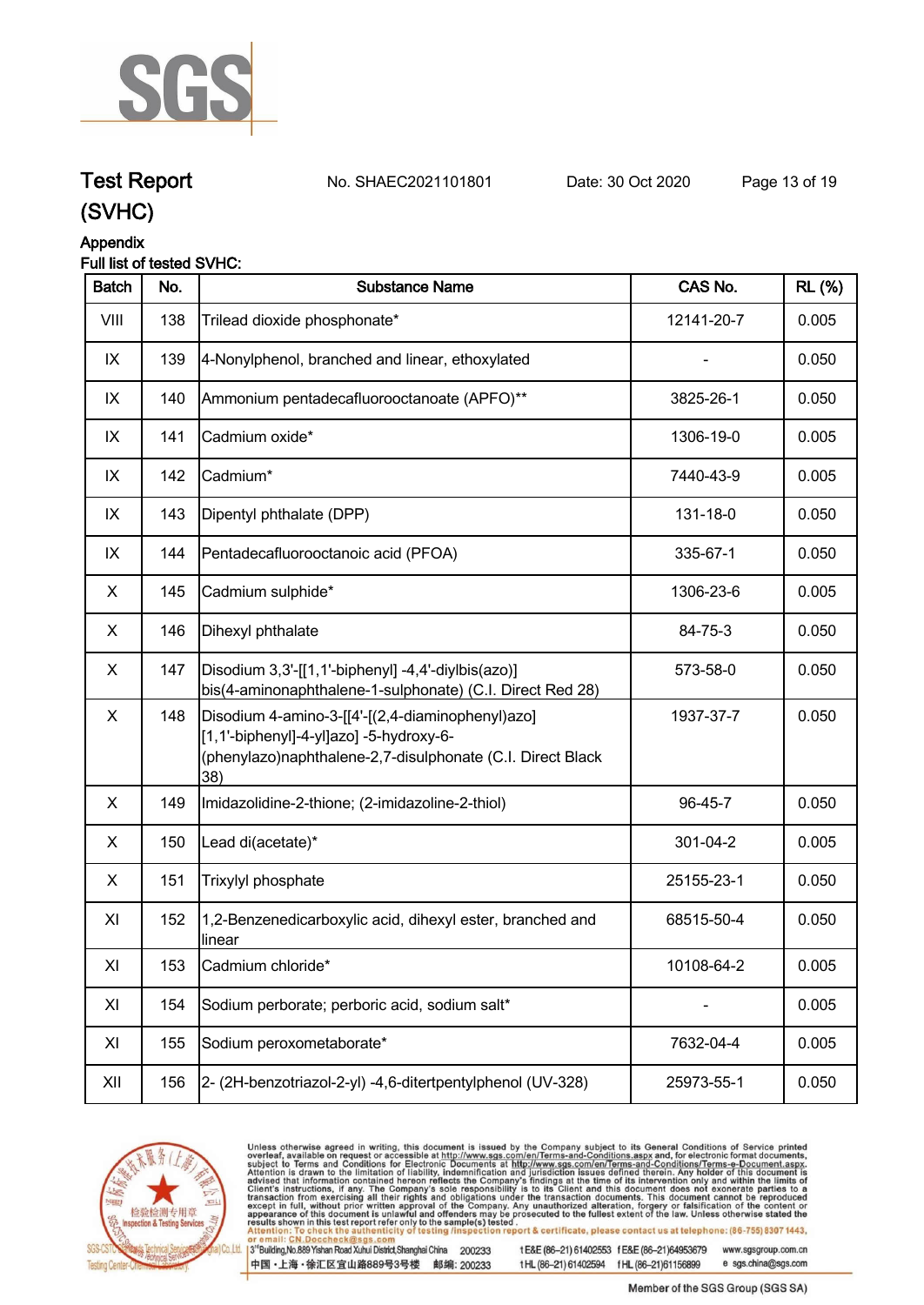

**Test Report. No. SHAEC2021101801 Date: 30 Oct 2020. Page 13 of 19.**

## **(SVHC)**

## **Appendix**

## **Full list of tested SVHC:**

| <b>Batch</b> | No. | <b>Substance Name</b>                                                                                                                                            | CAS No.    | <b>RL</b> (%) |
|--------------|-----|------------------------------------------------------------------------------------------------------------------------------------------------------------------|------------|---------------|
| VIII         | 138 | Trilead dioxide phosphonate*                                                                                                                                     | 12141-20-7 | 0.005         |
| IX           | 139 | 4-Nonylphenol, branched and linear, ethoxylated                                                                                                                  |            | 0.050         |
| IX           | 140 | Ammonium pentadecafluorooctanoate (APFO)**                                                                                                                       | 3825-26-1  | 0.050         |
| IX           | 141 | Cadmium oxide*                                                                                                                                                   | 1306-19-0  | 0.005         |
| IX           | 142 | Cadmium*                                                                                                                                                         | 7440-43-9  | 0.005         |
| IX           | 143 | Dipentyl phthalate (DPP)                                                                                                                                         | 131-18-0   | 0.050         |
| IX           | 144 | Pentadecafluorooctanoic acid (PFOA)                                                                                                                              | 335-67-1   | 0.050         |
| X            | 145 | Cadmium sulphide*                                                                                                                                                | 1306-23-6  | 0.005         |
| X            | 146 | Dihexyl phthalate                                                                                                                                                | 84-75-3    | 0.050         |
| X            | 147 | Disodium 3,3'-[[1,1'-biphenyl] -4,4'-diylbis(azo)]<br>bis(4-aminonaphthalene-1-sulphonate) (C.I. Direct Red 28)                                                  | 573-58-0   | 0.050         |
| X            | 148 | Disodium 4-amino-3-[[4'-[(2,4-diaminophenyl)azo]<br>[1,1'-biphenyl]-4-yl]azo] -5-hydroxy-6-<br>(phenylazo)naphthalene-2,7-disulphonate (C.I. Direct Black<br>38) | 1937-37-7  | 0.050         |
| X            | 149 | Imidazolidine-2-thione; (2-imidazoline-2-thiol)                                                                                                                  | 96-45-7    | 0.050         |
| X            | 150 | Lead di(acetate)*                                                                                                                                                | 301-04-2   | 0.005         |
| X            | 151 | Trixylyl phosphate                                                                                                                                               | 25155-23-1 | 0.050         |
| XI           | 152 | 1,2-Benzenedicarboxylic acid, dihexyl ester, branched and<br>llinear                                                                                             | 68515-50-4 | 0.050         |
| XI           | 153 | Cadmium chloride*                                                                                                                                                | 10108-64-2 | 0.005         |
| XI           | 154 | Sodium perborate; perboric acid, sodium salt*                                                                                                                    |            | 0.005         |
| XI           | 155 | Sodium peroxometaborate*                                                                                                                                         | 7632-04-4  | 0.005         |
| XII          | 156 | 2- (2H-benzotriazol-2-yl) -4,6-ditertpentylphenol (UV-328)                                                                                                       | 25973-55-1 | 0.050         |



Unless otherwise agreed in writing, this document is issued by the Company subject to its General Conditions of Service printed overleaf, available on request or accessible at http://www.sgs.com/en/Terms-and-Conditions.asp

3<sup>te</sup>Building, No.889 Yishan Road Xuhui District, Shanghai China 200233 中国·上海·徐汇区宜山路889号3号楼 邮编: 200233

tE&E (86-21) 61402553 fE&E (86-21)64953679 www.sgsgroup.com.cn

tHL (86-21) 61402594 fHL (86-21)61156899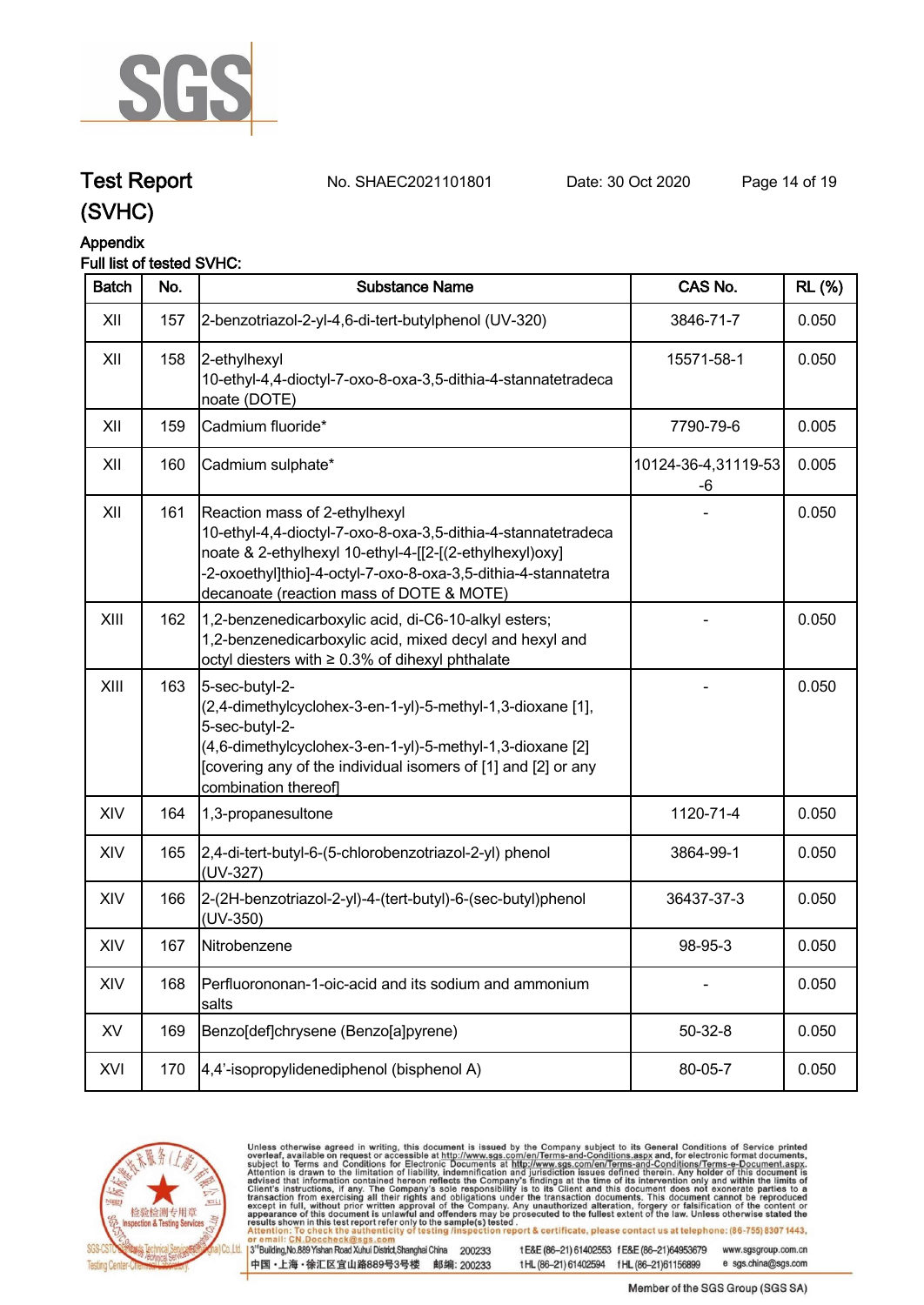

**Test Report. No. SHAEC2021101801 Date: 30 Oct 2020. Page 14 of 19.**

## **(SVHC)**

## **Appendix**

## **Full list of tested SVHC:**

| <b>Batch</b> | No. | <b>Substance Name</b>                                                                                                                                                                                                                                                   | CAS No.                   | <b>RL</b> (%) |
|--------------|-----|-------------------------------------------------------------------------------------------------------------------------------------------------------------------------------------------------------------------------------------------------------------------------|---------------------------|---------------|
| XII          | 157 | 2-benzotriazol-2-yl-4,6-di-tert-butylphenol (UV-320)                                                                                                                                                                                                                    | 3846-71-7                 | 0.050         |
| XII          | 158 | 2-ethylhexyl<br>10-ethyl-4,4-dioctyl-7-oxo-8-oxa-3,5-dithia-4-stannatetradeca<br>noate (DOTE)                                                                                                                                                                           | 15571-58-1                | 0.050         |
| XII          | 159 | Cadmium fluoride*                                                                                                                                                                                                                                                       | 7790-79-6                 | 0.005         |
| XII          | 160 | Cadmium sulphate*                                                                                                                                                                                                                                                       | 10124-36-4,31119-53<br>-6 | 0.005         |
| XII          | 161 | Reaction mass of 2-ethylhexyl<br>10-ethyl-4,4-dioctyl-7-oxo-8-oxa-3,5-dithia-4-stannatetradeca<br>noate & 2-ethylhexyl 10-ethyl-4-[[2-[(2-ethylhexyl)oxy]<br>-2-oxoethyl]thio]-4-octyl-7-oxo-8-oxa-3,5-dithia-4-stannatetra<br>decanoate (reaction mass of DOTE & MOTE) |                           | 0.050         |
| XIII         | 162 | 1,2-benzenedicarboxylic acid, di-C6-10-alkyl esters;<br>1,2-benzenedicarboxylic acid, mixed decyl and hexyl and<br>octyl diesters with ≥ 0.3% of dihexyl phthalate                                                                                                      |                           | 0.050         |
| XIII         | 163 | 5-sec-butyl-2-<br>(2,4-dimethylcyclohex-3-en-1-yl)-5-methyl-1,3-dioxane [1],<br>5-sec-butyl-2-<br>(4,6-dimethylcyclohex-3-en-1-yl)-5-methyl-1,3-dioxane [2]<br>[covering any of the individual isomers of [1] and [2] or any<br>combination thereof]                    |                           | 0.050         |
| XIV          | 164 | 1,3-propanesultone                                                                                                                                                                                                                                                      | 1120-71-4                 | 0.050         |
| XIV          | 165 | 2,4-di-tert-butyl-6-(5-chlorobenzotriazol-2-yl) phenol<br>(UV-327)                                                                                                                                                                                                      | 3864-99-1                 | 0.050         |
| XIV          | 166 | 2-(2H-benzotriazol-2-yl)-4-(tert-butyl)-6-(sec-butyl)phenol<br>(UV-350)                                                                                                                                                                                                 | 36437-37-3                | 0.050         |
| XIV          | 167 | Nitrobenzene                                                                                                                                                                                                                                                            | 98-95-3                   | 0.050         |
| XIV          | 168 | Perfluorononan-1-oic-acid and its sodium and ammonium<br>salts                                                                                                                                                                                                          |                           | 0.050         |
| XV           | 169 | Benzo[def]chrysene (Benzo[a]pyrene)                                                                                                                                                                                                                                     | $50 - 32 - 8$             | 0.050         |
| XVI          | 170 | 4,4'-isopropylidenediphenol (bisphenol A)                                                                                                                                                                                                                               | 80-05-7                   | 0.050         |



Unless otherwise agreed in writing, this document is issued by the Company subject to its General Conditions of Service printed overleaf, available on request or accessible at http://www.sgs.com/en/Terms-and-Conditions.asp

3<sup>te</sup>Building, No.889 Yishan Road Xuhui District, Shanghai China 200233 中国·上海·徐汇区宜山路889号3号楼 邮编: 200233

tE&E (86-21) 61402553 fE&E (86-21)64953679 www.sgsgroup.com.cn e sgs.china@sgs.com

tHL (86-21) 61402594 fHL (86-21)61156899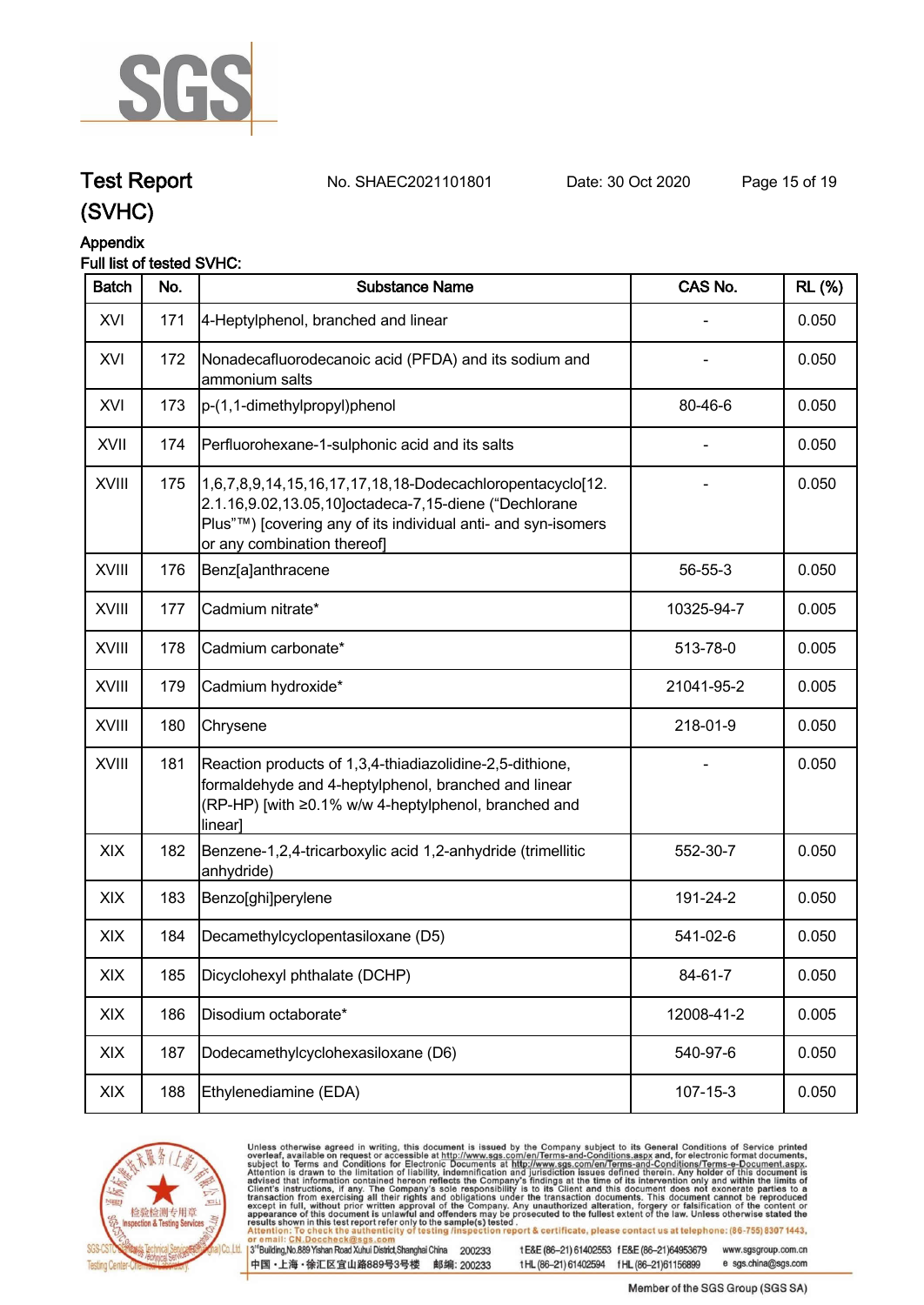

**Test Report. No. SHAEC2021101801 Date: 30 Oct 2020. Page 15 of 19.**

## **(SVHC)**

## **Appendix**

## **Full list of tested SVHC:**

| <b>Batch</b> | No. | <b>Substance Name</b>                                                                                                                                                                                             | CAS No.    | <b>RL</b> (%) |
|--------------|-----|-------------------------------------------------------------------------------------------------------------------------------------------------------------------------------------------------------------------|------------|---------------|
| XVI          | 171 | 4-Heptylphenol, branched and linear                                                                                                                                                                               |            | 0.050         |
| XVI          | 172 | Nonadecafluorodecanoic acid (PFDA) and its sodium and<br>ammonium salts                                                                                                                                           |            | 0.050         |
| XVI          | 173 | p-(1,1-dimethylpropyl)phenol                                                                                                                                                                                      | 80-46-6    | 0.050         |
| XVII         | 174 | Perfluorohexane-1-sulphonic acid and its salts                                                                                                                                                                    |            | 0.050         |
| XVIII        | 175 | 1,6,7,8,9,14,15,16,17,17,18,18-Dodecachloropentacyclo[12.<br>2.1.16,9.02,13.05,10]octadeca-7,15-diene ("Dechlorane<br>Plus"™) [covering any of its individual anti- and syn-isomers<br>or any combination thereof |            | 0.050         |
| <b>XVIII</b> | 176 | Benz[a]anthracene                                                                                                                                                                                                 | 56-55-3    | 0.050         |
| <b>XVIII</b> | 177 | Cadmium nitrate*                                                                                                                                                                                                  | 10325-94-7 | 0.005         |
| <b>XVIII</b> | 178 | Cadmium carbonate*                                                                                                                                                                                                | 513-78-0   | 0.005         |
| <b>XVIII</b> | 179 | Cadmium hydroxide*                                                                                                                                                                                                | 21041-95-2 | 0.005         |
| XVIII        | 180 | Chrysene                                                                                                                                                                                                          | 218-01-9   | 0.050         |
| <b>XVIII</b> | 181 | Reaction products of 1,3,4-thiadiazolidine-2,5-dithione,<br>formaldehyde and 4-heptylphenol, branched and linear<br>(RP-HP) [with ≥0.1% w/w 4-heptylphenol, branched and<br>linear]                               |            | 0.050         |
| XIX          | 182 | Benzene-1,2,4-tricarboxylic acid 1,2-anhydride (trimellitic<br>anhydride)                                                                                                                                         | 552-30-7   | 0.050         |
| XIX          | 183 | Benzo[ghi]perylene                                                                                                                                                                                                | 191-24-2   | 0.050         |
| XIX          | 184 | Decamethylcyclopentasiloxane (D5)                                                                                                                                                                                 | 541-02-6   | 0.050         |
| XIX          | 185 | Dicyclohexyl phthalate (DCHP)                                                                                                                                                                                     | 84-61-7    | 0.050         |
| XIX          | 186 | Disodium octaborate*                                                                                                                                                                                              | 12008-41-2 | 0.005         |
| XIX          | 187 | Dodecamethylcyclohexasiloxane (D6)                                                                                                                                                                                | 540-97-6   | 0.050         |
| XIX          | 188 | Ethylenediamine (EDA)                                                                                                                                                                                             | 107-15-3   | 0.050         |



Unless otherwise agreed in writing, this document is issued by the Company subject to its General Conditions of Service printed overleaf, available on request or accessible at http://www.sgs.com/en/Terms-and-Conditions.asp

3<sup>te</sup>Building, No.889 Yishan Road Xuhui District, Shanghai China 200233 中国·上海·徐汇区宜山路889号3号楼 邮编: 200233

tE&E (86-21) 61402553 fE&E (86-21)64953679 www.sgsgroup.com.cn tHL (86-21) 61402594 fHL (86-21)61156899 e sgs.china@sgs.com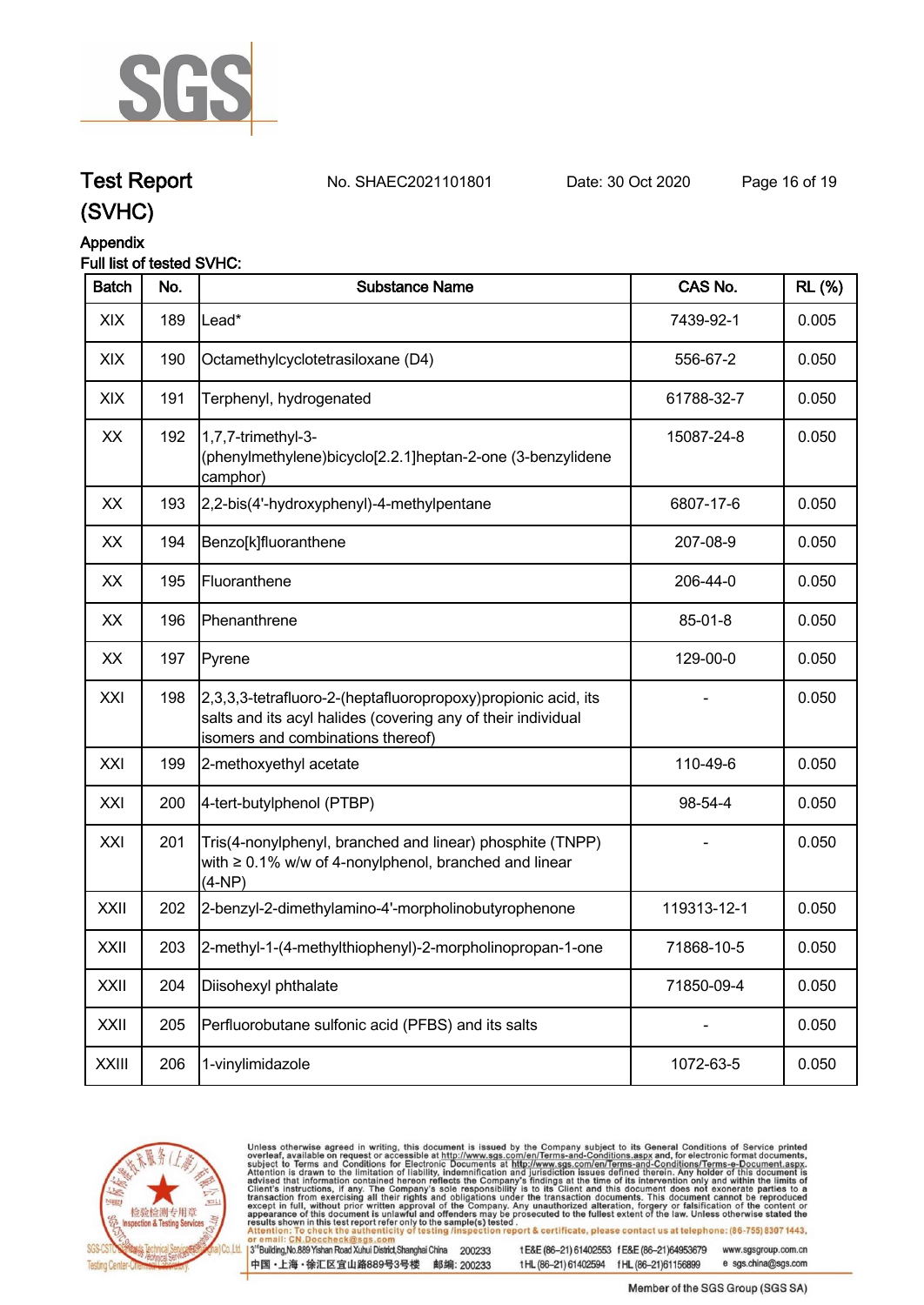

## **Test Report. No. SHAEC2021101801 Date: 30 Oct 2020. Page 16 of 19.**

**(SVHC)**

## **Appendix**

## **Full list of tested SVHC:**

| <b>Batch</b> | No. | <b>Substance Name</b>                                                                                                                                               | CAS No.     | <b>RL (%)</b> |
|--------------|-----|---------------------------------------------------------------------------------------------------------------------------------------------------------------------|-------------|---------------|
| XIX          | 189 | Lead*                                                                                                                                                               | 7439-92-1   | 0.005         |
| XIX          | 190 | Octamethylcyclotetrasiloxane (D4)                                                                                                                                   | 556-67-2    | 0.050         |
| XIX          | 191 | Terphenyl, hydrogenated                                                                                                                                             | 61788-32-7  | 0.050         |
| XX           | 192 | 1,7,7-trimethyl-3-<br>(phenylmethylene)bicyclo[2.2.1]heptan-2-one (3-benzylidene<br>camphor)                                                                        | 15087-24-8  | 0.050         |
| XX           | 193 | 2,2-bis(4'-hydroxyphenyl)-4-methylpentane                                                                                                                           | 6807-17-6   | 0.050         |
| XX           | 194 | Benzo[k]fluoranthene                                                                                                                                                | 207-08-9    | 0.050         |
| XX           | 195 | Fluoranthene                                                                                                                                                        | 206-44-0    | 0.050         |
| XX           | 196 | Phenanthrene                                                                                                                                                        | 85-01-8     | 0.050         |
| XX           | 197 | Pyrene                                                                                                                                                              | 129-00-0    | 0.050         |
| XXI          | 198 | 2,3,3,3-tetrafluoro-2-(heptafluoropropoxy) propionic acid, its<br>salts and its acyl halides (covering any of their individual<br>isomers and combinations thereof) |             | 0.050         |
| XXI          | 199 | 2-methoxyethyl acetate                                                                                                                                              | 110-49-6    | 0.050         |
| XXI          | 200 | 4-tert-butylphenol (PTBP)                                                                                                                                           | 98-54-4     | 0.050         |
| XXI          | 201 | Tris(4-nonylphenyl, branched and linear) phosphite (TNPP)<br>with $\geq 0.1\%$ w/w of 4-nonylphenol, branched and linear<br>$(4-NP)$                                |             | 0.050         |
| XXII         | 202 | 2-benzyl-2-dimethylamino-4'-morpholinobutyrophenone                                                                                                                 | 119313-12-1 | 0.050         |
| XXII         | 203 | 2-methyl-1-(4-methylthiophenyl)-2-morpholinopropan-1-one                                                                                                            | 71868-10-5  | 0.050         |
| XXII         | 204 | Diisohexyl phthalate                                                                                                                                                | 71850-09-4  | 0.050         |
| XXII         | 205 | Perfluorobutane sulfonic acid (PFBS) and its salts                                                                                                                  |             | 0.050         |
| <b>XXIII</b> | 206 | 1-vinylimidazole                                                                                                                                                    | 1072-63-5   | 0.050         |



Unless otherwise agreed in writing, this document is issued by the Company subject to its General Conditions of Service printed overleaf, available on request or accessible at http://www.sgs.com/en/Terms-and-Conditions.asp

3<sup>te</sup>Building, No.889 Yishan Road Xuhui District, Shanghai China 200233 中国·上海·徐汇区宜山路889号3号楼 邮编: 200233

tE&E (86-21) 61402553 fE&E (86-21)64953679 www.sgsgroup.com.cn tHL (86-21) 61402594 fHL (86-21)61156899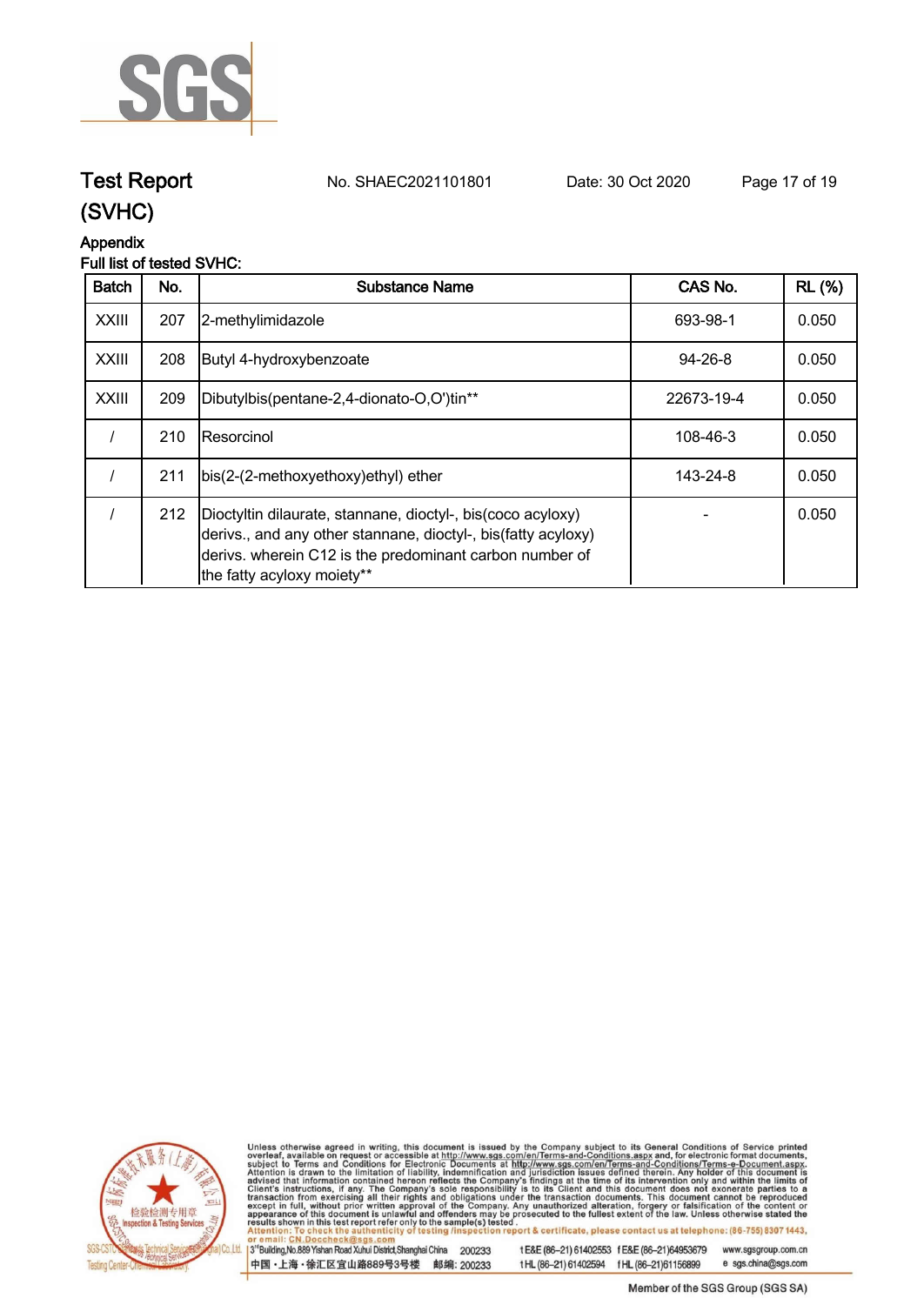

## **Test Report. No. SHAEC2021101801 Date: 30 Oct 2020. Page 17 of 19.**

## **(SVHC)**

## **Appendix**

## **Full list of tested SVHC:**

| <b>Batch</b> | No. | Substance Name                                                                                                                                                                                                        | CAS No.       | <b>RL</b> (%) |
|--------------|-----|-----------------------------------------------------------------------------------------------------------------------------------------------------------------------------------------------------------------------|---------------|---------------|
| <b>XXIII</b> | 207 | 2-methylimidazole                                                                                                                                                                                                     | 693-98-1      | 0.050         |
| <b>XXIII</b> | 208 | Butyl 4-hydroxybenzoate                                                                                                                                                                                               | $94 - 26 - 8$ | 0.050         |
| <b>XXIII</b> | 209 | Dibutylbis(pentane-2,4-dionato-O,O')tin**                                                                                                                                                                             | 22673-19-4    | 0.050         |
|              | 210 | IResorcinol                                                                                                                                                                                                           | 108-46-3      | 0.050         |
|              | 211 | bis(2-(2-methoxyethoxy)ethyl) ether                                                                                                                                                                                   | 143-24-8      | 0.050         |
|              | 212 | Dioctyltin dilaurate, stannane, dioctyl-, bis(coco acyloxy)<br>derivs., and any other stannane, dioctyl-, bis(fatty acyloxy)<br>derivs. wherein C12 is the predominant carbon number of<br>the fatty acyloxy moiety** |               | 0.050         |



Unless otherwise agreed in writing, this document is issued by the Company subject to its General Conditions of Service printed overleaf, available on request or accessible at http://www.sgs.com/en/Terms-and-Conditions.asp

3<sup>te</sup>Building, No.889 Yishan Road Xuhui District, Shanghai China 200233 中国·上海·徐汇区宜山路889号3号楼 邮编: 200233

tE&E (86-21) 61402553 fE&E (86-21)64953679 www.sgsgroup.com.cn

tHL (86-21) 61402594 fHL (86-21)61156899 e sgs.china@sgs.com Member of the SGS Group (SGS SA)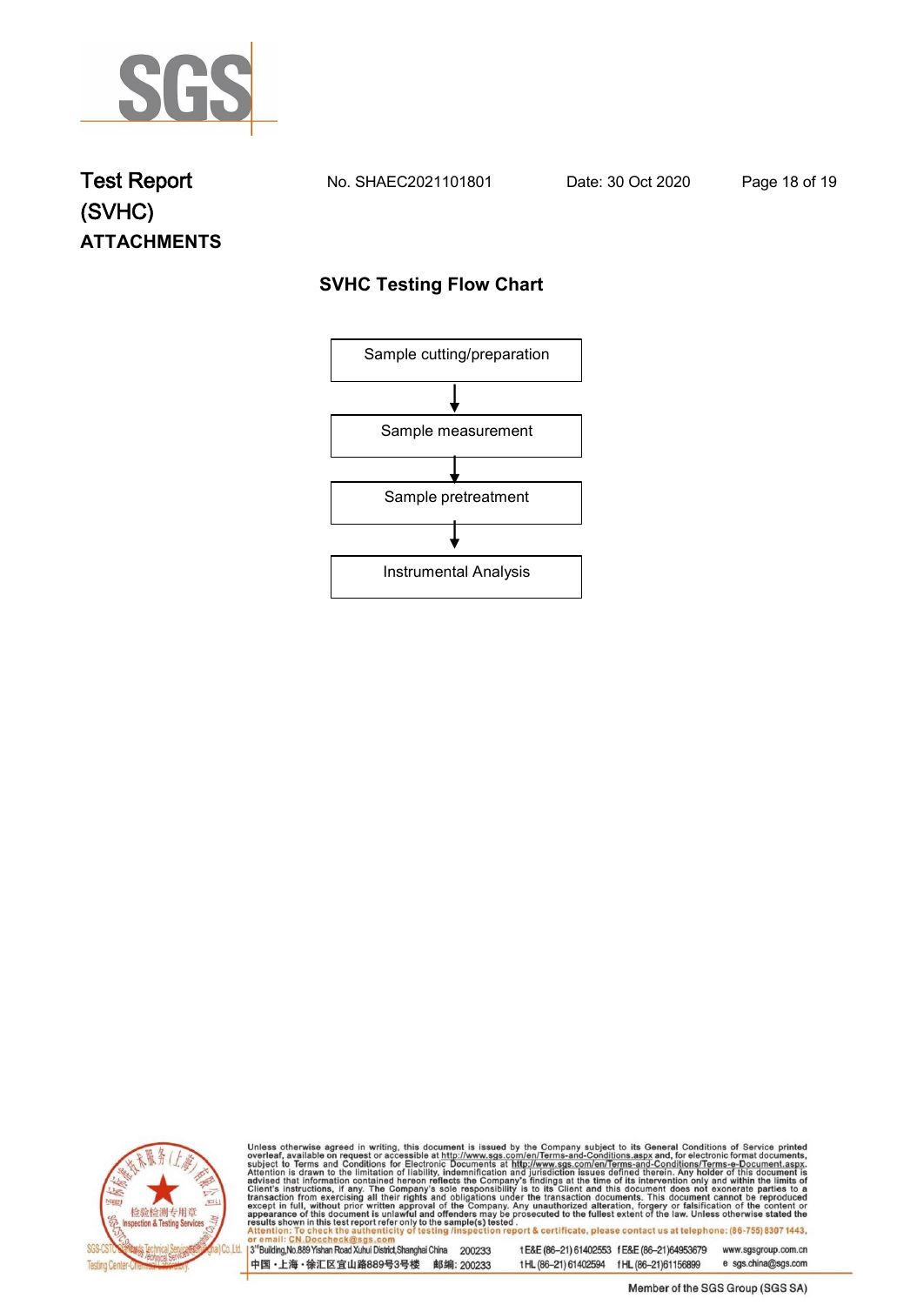

## **Test Report. No. SHAEC2021101801 Date: 30 Oct 2020. Page 18 of 19. (SVHC) ATTACHMENTS**

## **SVHC Testing Flow Chart**





Unless otherwise agreed in writing, this document is issued by the Company subject to its General Conditions of Service printed overleaf, available on request or accessible at http://www.sgs.com/en/Terms-and-Conditions.asp

3<sup>rd</sup>Building, No.889 Yishan Road Xuhui District, Shanghai China 200233 中国·上海·徐汇区宜山路889号3号楼 邮编: 200233

tE&E (86-21) 61402553 fE&E (86-21)64953679 www.sgsgroup.com.cn e sgs.china@sgs.com t HL (86-21) 61402594 f HL (86-21) 61156899

Member of the SGS Group (SGS SA)